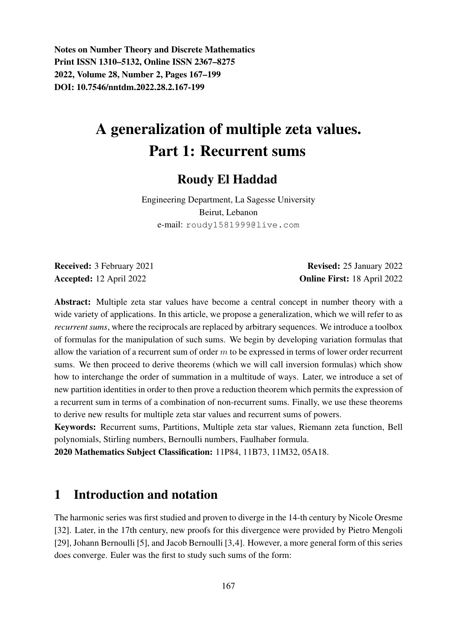Notes on Number Theory and Discrete Mathematics Print ISSN 1310–5132, Online ISSN 2367–8275 2022, Volume 28, Number 2, Pages 167–199 DOI: 10.7546/nntdm.2022.28.2.167-199

# A generalization of multiple zeta values. Part 1: Recurrent sums

# Roudy El Haddad

Engineering Department, La Sagesse University Beirut, Lebanon e-mail: roudy1581999@live.com

Received: 3 February 2021 **Revised: 25 January 2022** Accepted: 12 April 2022 Online First: 18 April 2022

Abstract: Multiple zeta star values have become a central concept in number theory with a wide variety of applications. In this article, we propose a generalization, which we will refer to as *recurrent sums*, where the reciprocals are replaced by arbitrary sequences. We introduce a toolbox of formulas for the manipulation of such sums. We begin by developing variation formulas that allow the variation of a recurrent sum of order  $m$  to be expressed in terms of lower order recurrent sums. We then proceed to derive theorems (which we will call inversion formulas) which show how to interchange the order of summation in a multitude of ways. Later, we introduce a set of new partition identities in order to then prove a reduction theorem which permits the expression of a recurrent sum in terms of a combination of non-recurrent sums. Finally, we use these theorems to derive new results for multiple zeta star values and recurrent sums of powers.

Keywords: Recurrent sums, Partitions, Multiple zeta star values, Riemann zeta function, Bell polynomials, Stirling numbers, Bernoulli numbers, Faulhaber formula.

2020 Mathematics Subject Classification: 11P84, 11B73, 11M32, 05A18.

# 1 Introduction and notation

The harmonic series was first studied and proven to diverge in the 14-th century by Nicole Oresme [32]. Later, in the 17th century, new proofs for this divergence were provided by Pietro Mengoli [29], Johann Bernoulli [5], and Jacob Bernoulli [3,4]. However, a more general form of this series does converge. Euler was the first to study such sums of the form: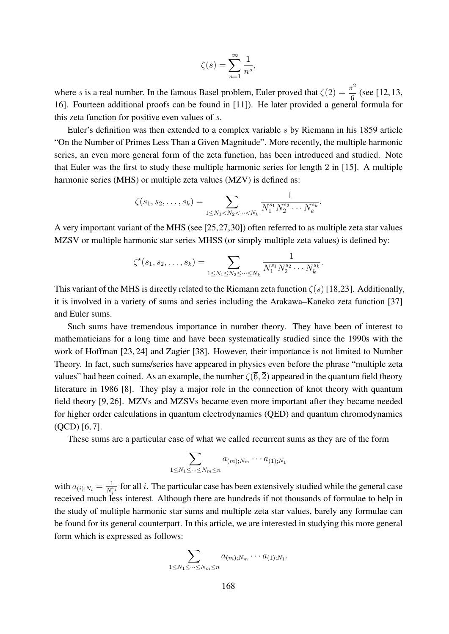$$
\zeta(s) = \sum_{n=1}^{\infty} \frac{1}{n^s},
$$

where s is a real number. In the famous Basel problem, Euler proved that  $\zeta(2) = \frac{\pi^2}{c}$  $\frac{1}{6}$  (see [12, 13, 16]. Fourteen additional proofs can be found in [11]). He later provided a general formula for this zeta function for positive even values of s.

Euler's definition was then extended to a complex variable s by Riemann in his 1859 article "On the Number of Primes Less Than a Given Magnitude". More recently, the multiple harmonic series, an even more general form of the zeta function, has been introduced and studied. Note that Euler was the first to study these multiple harmonic series for length 2 in [15]. A multiple harmonic series (MHS) or multiple zeta values (MZV) is defined as:

$$
\zeta(s_1, s_2, \dots, s_k) = \sum_{1 \leq N_1 < N_2 < \dots < N_k} \frac{1}{N_1^{s_1} N_2^{s_2} \cdots N_k^{s_k}}.
$$

A very important variant of the MHS (see [25,27,30]) often referred to as multiple zeta star values MZSV or multiple harmonic star series MHSS (or simply multiple zeta values) is defined by:

$$
\zeta^{\star}(s_1, s_2, \ldots, s_k) = \sum_{1 \leq N_1 \leq N_2 \leq \cdots \leq N_k} \frac{1}{N_1^{s_1} N_2^{s_2} \cdots N_k^{s_k}}.
$$

This variant of the MHS is directly related to the Riemann zeta function  $\zeta(s)$  [18,23]. Additionally, it is involved in a variety of sums and series including the Arakawa–Kaneko zeta function [37] and Euler sums.

Such sums have tremendous importance in number theory. They have been of interest to mathematicians for a long time and have been systematically studied since the 1990s with the work of Hoffman [23, 24] and Zagier [38]. However, their importance is not limited to Number Theory. In fact, such sums/series have appeared in physics even before the phrase "multiple zeta values" had been coined. As an example, the number  $\zeta(\bar{6}, \bar{2})$  appeared in the quantum field theory literature in 1986 [8]. They play a major role in the connection of knot theory with quantum field theory [9, 26]. MZVs and MZSVs became even more important after they became needed for higher order calculations in quantum electrodynamics (QED) and quantum chromodynamics (QCD) [6, 7].

These sums are a particular case of what we called recurrent sums as they are of the form

$$
\sum_{1\leq N_1\leq \cdots \leq N_m\leq n} a_{(m);N_m}\cdots a_{(1);N_1}
$$

with  $a_{(i);N_i} = \frac{1}{N_i^i}$  $\frac{1}{N_i^{s_i}}$  for all i. The particular case has been extensively studied while the general case received much less interest. Although there are hundreds if not thousands of formulae to help in the study of multiple harmonic star sums and multiple zeta star values, barely any formulae can be found for its general counterpart. In this article, we are interested in studying this more general form which is expressed as follows:

$$
\sum_{1\leq N_1\leq \cdots \leq N_m\leq n} a_{(m);N_m}\cdots a_{(1);N_1}.
$$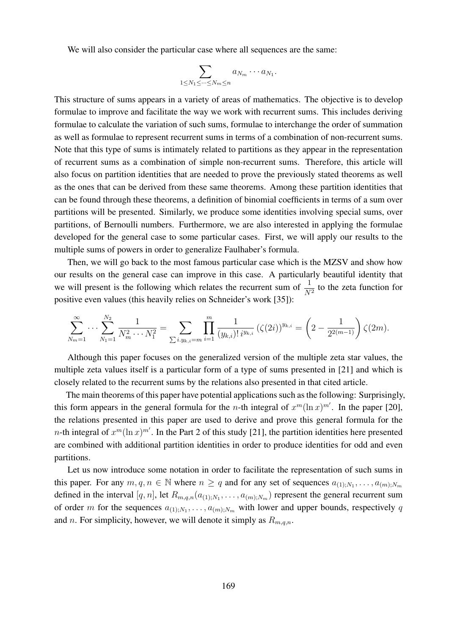We will also consider the particular case where all sequences are the same:

$$
\sum_{1\leq N_1\leq \cdots \leq N_m\leq n} a_{N_m}\cdots a_{N_1}.
$$

This structure of sums appears in a variety of areas of mathematics. The objective is to develop formulae to improve and facilitate the way we work with recurrent sums. This includes deriving formulae to calculate the variation of such sums, formulae to interchange the order of summation as well as formulae to represent recurrent sums in terms of a combination of non-recurrent sums. Note that this type of sums is intimately related to partitions as they appear in the representation of recurrent sums as a combination of simple non-recurrent sums. Therefore, this article will also focus on partition identities that are needed to prove the previously stated theorems as well as the ones that can be derived from these same theorems. Among these partition identities that can be found through these theorems, a definition of binomial coefficients in terms of a sum over partitions will be presented. Similarly, we produce some identities involving special sums, over partitions, of Bernoulli numbers. Furthermore, we are also interested in applying the formulae developed for the general case to some particular cases. First, we will apply our results to the multiple sums of powers in order to generalize Faulhaber's formula.

Then, we will go back to the most famous particular case which is the MZSV and show how our results on the general case can improve in this case. A particularly beautiful identity that we will present is the following which relates the recurrent sum of  $\frac{1}{N^2}$  to the zeta function for positive even values (this heavily relies on Schneider's work [35]):

$$
\sum_{N_m=1}^{\infty} \cdots \sum_{N_1=1}^{N_2} \frac{1}{N_m^2 \cdots N_1^2} = \sum_{\sum i.y_{k,i}=m} \prod_{i=1}^m \frac{1}{(y_{k,i})! \, i^{y_{k,i}}} \left( \zeta(2i) \right)^{y_{k,i}} = \left( 2 - \frac{1}{2^{2(m-1)}} \right) \zeta(2m).
$$

Although this paper focuses on the generalized version of the multiple zeta star values, the multiple zeta values itself is a particular form of a type of sums presented in [21] and which is closely related to the recurrent sums by the relations also presented in that cited article.

The main theorems of this paper have potential applications such as the following: Surprisingly, this form appears in the general formula for the *n*-th integral of  $x^m(\ln x)^{m'}$ . In the paper [20], the relations presented in this paper are used to derive and prove this general formula for the *n*-th integral of  $x^m(\ln x)^{m'}$ . In the Part 2 of this study [21], the partition identities here presented are combined with additional partition identities in order to produce identities for odd and even partitions.

Let us now introduce some notation in order to facilitate the representation of such sums in this paper. For any  $m, q, n \in \mathbb{N}$  where  $n \geq q$  and for any set of sequences  $a_{(1),N_1}, \ldots, a_{(m);N_m}$ defined in the interval  $[q, n]$ , let  $R_{m,q,n}(a_{(1);N_1}, \ldots, a_{(m);N_m})$  represent the general recurrent sum of order m for the sequences  $a_{(1);N_1}, \ldots, a_{(m);N_m}$  with lower and upper bounds, respectively q and n. For simplicity, however, we will denote it simply as  $R_{m,q,n}$ .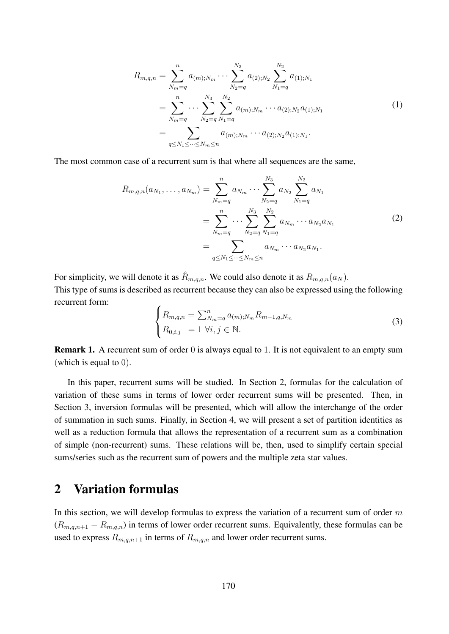$$
R_{m,q,n} = \sum_{N_m=q}^{n} a_{(m);N_m} \cdots \sum_{N_2=q}^{N_3} a_{(2);N_2} \sum_{N_1=q}^{N_2} a_{(1);N_1}
$$
  
= 
$$
\sum_{N_m=q}^{n} \cdots \sum_{N_2=q}^{N_3} \sum_{N_1=q}^{N_2} a_{(m);N_m} \cdots a_{(2);N_2} a_{(1);N_1}
$$
  
= 
$$
\sum_{q \le N_1 \le \cdots \le N_m \le n} a_{(m);N_m} \cdots a_{(2);N_2} a_{(1);N_1}.
$$
 (1)

The most common case of a recurrent sum is that where all sequences are the same,

$$
R_{m,q,n}(a_{N_1},\ldots,a_{N_m}) = \sum_{N_m=q}^{n} a_{N_m} \cdots \sum_{N_2=q}^{N_3} a_{N_2} \sum_{N_1=q}^{N_2} a_{N_1}
$$
  
= 
$$
\sum_{N_m=q}^{n} \cdots \sum_{N_2=q}^{N_3} \sum_{N_1=q}^{N_2} a_{N_m} \cdots a_{N_2} a_{N_1}
$$
  
= 
$$
\sum_{q\leq N_1\leq \cdots\leq N_m\leq n} a_{N_m} \cdots a_{N_2} a_{N_1}.
$$
 (2)

For simplicity, we will denote it as  $\hat{R}_{m,q,n}$ . We could also denote it as  $R_{m,q,n}(a_N)$ . This type of sums is described as recurrent because they can also be expressed using the following recurrent form:

$$
\begin{cases}\nR_{m,q,n} = \sum_{N_m=q}^{n} a_{(m);N_m} R_{m-1,q,N_m} \\
R_{0,i,j} = 1 \,\forall i,j \in \mathbb{N}.\n\end{cases} \tag{3}
$$

**Remark 1.** A recurrent sum of order 0 is always equal to 1. It is not equivalent to an empty sum (which is equal to 0).

In this paper, recurrent sums will be studied. In Section 2, formulas for the calculation of variation of these sums in terms of lower order recurrent sums will be presented. Then, in Section 3, inversion formulas will be presented, which will allow the interchange of the order of summation in such sums. Finally, in Section 4, we will present a set of partition identities as well as a reduction formula that allows the representation of a recurrent sum as a combination of simple (non-recurrent) sums. These relations will be, then, used to simplify certain special sums/series such as the recurrent sum of powers and the multiple zeta star values.

### 2 Variation formulas

In this section, we will develop formulas to express the variation of a recurrent sum of order  $m$  $(R_{m,q,n+1} - R_{m,q,n})$  in terms of lower order recurrent sums. Equivalently, these formulas can be used to express  $R_{m,q,n+1}$  in terms of  $R_{m,q,n}$  and lower order recurrent sums.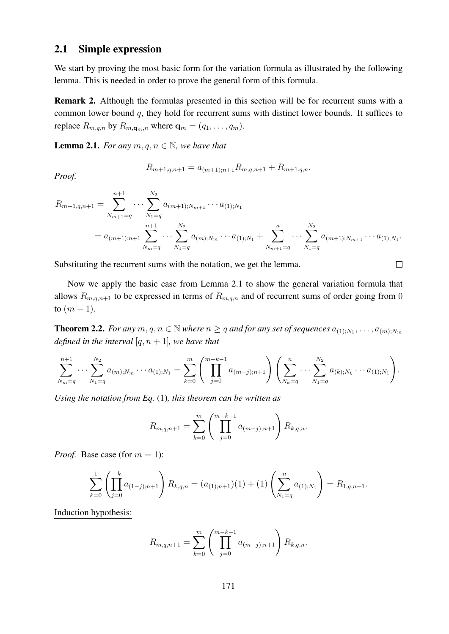#### 2.1 Simple expression

We start by proving the most basic form for the variation formula as illustrated by the following lemma. This is needed in order to prove the general form of this formula.

Remark 2. Although the formulas presented in this section will be for recurrent sums with a common lower bound  $q$ , they hold for recurrent sums with distinct lower bounds. It suffices to replace  $R_{m,q,n}$  by  $R_{m,\mathbf{q}_m,n}$  where  $\mathbf{q}_m = (q_1, \ldots, q_m)$ .

**Lemma 2.1.** *For any*  $m, q, n \in \mathbb{N}$ *, we have that* 

*Proof.*

$$
R_{m+1,q,n+1} = a_{(m+1);n+1}R_{m,q,n+1} + R_{m+1,q,n}.
$$

$$
R_{m+1,q,n+1} = \sum_{N_{m+1}=q}^{n+1} \cdots \sum_{N_1=q}^{N_2} a_{(m+1);N_{m+1}} \cdots a_{(1);N_1}
$$
  
=  $a_{(m+1);n+1} \sum_{N_m=q}^{n+1} \cdots \sum_{N_1=q}^{N_2} a_{(m);N_m} \cdots a_{(1);N_1} + \sum_{N_{m+1}=q}^{n} \cdots \sum_{N_1=q}^{N_2} a_{(m+1);N_{m+1}} \cdots a_{(1);N_1}.$ 

Substituting the recurrent sums with the notation, we get the lemma.

Now we apply the basic case from Lemma 2.1 to show the general variation formula that allows  $R_{m,q,n+1}$  to be expressed in terms of  $R_{m,q,n}$  and of recurrent sums of order going from 0 to  $(m - 1)$ .

 $\Box$ 

**Theorem 2.2.** For any  $m, q, n \in \mathbb{N}$  where  $n \geq q$  and for any set of sequences  $a_{(1),N_1}, \ldots, a_{(m);N_m}$ *defined in the interval* [ $q, n+1$ ]*, we have that* 

$$
\sum_{N_m=q}^{n+1} \cdots \sum_{N_1=q}^{N_2} a_{(m);N_m} \cdots a_{(1);N_1} = \sum_{k=0}^m \left( \prod_{j=0}^{m-k-1} a_{(m-j);n+1} \right) \left( \sum_{N_k=q}^n \cdots \sum_{N_1=q}^{N_2} a_{(k);N_k} \cdots a_{(1);N_1} \right).
$$

*Using the notation from Eq.* (1)*, this theorem can be written as*

$$
R_{m,q,n+1} = \sum_{k=0}^{m} \left( \prod_{j=0}^{m-k-1} a_{(m-j);n+1} \right) R_{k,q,n}.
$$

*Proof.* Base case (for  $m = 1$ ):

$$
\sum_{k=0}^{1} \left( \prod_{j=0}^{-k} a_{(1-j);n+1} \right) R_{k,q,n} = (a_{(1);n+1})(1) + (1) \left( \sum_{N_1=q}^{n} a_{(1);N_1} \right) = R_{1,q,n+1}.
$$

Induction hypothesis:

$$
R_{m,q,n+1} = \sum_{k=0}^{m} \left( \prod_{j=0}^{m-k-1} a_{(m-j);n+1} \right) R_{k,q,n}.
$$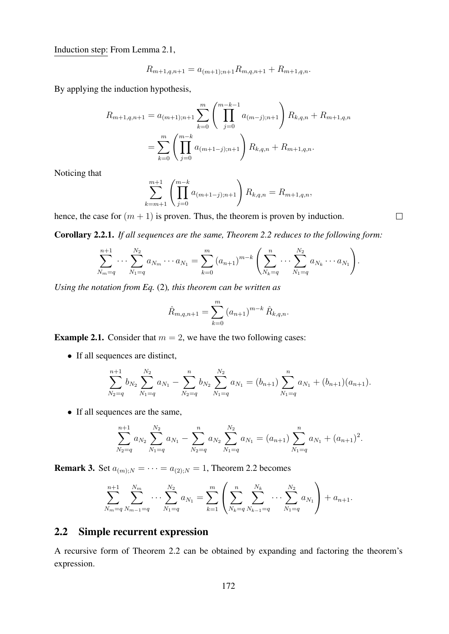Induction step: From Lemma 2.1,

$$
R_{m+1,q,n+1} = a_{(m+1);n+1}R_{m,q,n+1} + R_{m+1,q,n}.
$$

By applying the induction hypothesis,

$$
R_{m+1,q,n+1} = a_{(m+1);n+1} \sum_{k=0}^{m} \left( \prod_{j=0}^{m-k-1} a_{(m-j);n+1} \right) R_{k,q,n} + R_{m+1,q,n}
$$
  
= 
$$
\sum_{k=0}^{m} \left( \prod_{j=0}^{m-k} a_{(m+1-j);n+1} \right) R_{k,q,n} + R_{m+1,q,n}.
$$

Noticing that

$$
\sum_{k=m+1}^{m+1} \left( \prod_{j=0}^{m-k} a_{(m+1-j);n+1} \right) R_{k,q,n} = R_{m+1,q,n},
$$

hence, the case for  $(m + 1)$  is proven. Thus, the theorem is proven by induction.

Corollary 2.2.1. *If all sequences are the same, Theorem 2.2 reduces to the following form:*

$$
\sum_{N_m=q}^{n+1} \cdots \sum_{N_1=q}^{N_2} a_{N_m} \cdots a_{N_1} = \sum_{k=0}^m (a_{n+1})^{m-k} \left( \sum_{N_k=q}^n \cdots \sum_{N_1=q}^{N_2} a_{N_k} \cdots a_{N_1} \right).
$$

*Using the notation from Eq.* (2)*, this theorem can be written as*

$$
\hat{R}_{m,q,n+1} = \sum_{k=0}^{m} (a_{n+1})^{m-k} \hat{R}_{k,q,n}.
$$

**Example 2.1.** Consider that  $m = 2$ , we have the two following cases:

• If all sequences are distinct,

$$
\sum_{N_2=q}^{n+1} b_{N_2} \sum_{N_1=q}^{N_2} a_{N_1} - \sum_{N_2=q}^{n} b_{N_2} \sum_{N_1=q}^{N_2} a_{N_1} = (b_{n+1}) \sum_{N_1=q}^{n} a_{N_1} + (b_{n+1})(a_{n+1}).
$$

• If all sequences are the same,

$$
\sum_{N_2=q}^{n+1} a_{N_2} \sum_{N_1=q}^{N_2} a_{N_1} - \sum_{N_2=q}^{n} a_{N_2} \sum_{N_1=q}^{N_2} a_{N_1} = (a_{n+1}) \sum_{N_1=q}^{n} a_{N_1} + (a_{n+1})^2.
$$

**Remark 3.** Set  $a_{(m),N} = \cdots = a_{(2),N} = 1$ , Theorem 2.2 becomes

$$
\sum_{N_m=q}^{n+1} \sum_{N_{m-1}=q}^{N_m} \cdots \sum_{N_1=q}^{N_2} a_{N_1} = \sum_{k=1}^m \left( \sum_{N_k=q}^n \sum_{N_{k-1}=q}^{N_k} \cdots \sum_{N_1=q}^{N_2} a_{N_1} \right) + a_{n+1}.
$$

### 2.2 Simple recurrent expression

A recursive form of Theorem 2.2 can be obtained by expanding and factoring the theorem's expression.

 $\Box$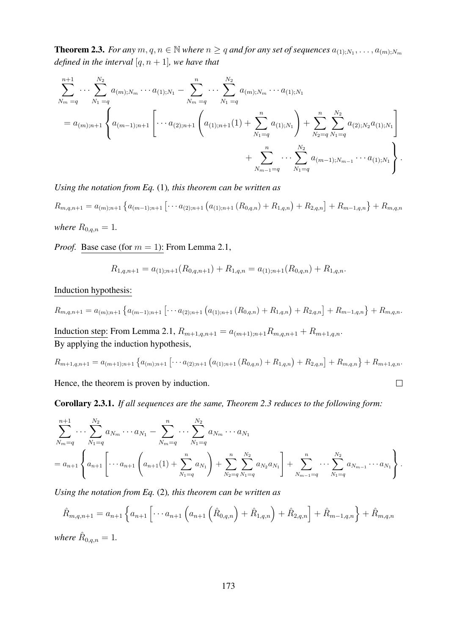**Theorem 2.3.** For any  $m, q, n \in \mathbb{N}$  where  $n \geq q$  and for any set of sequences  $a_{(1),N_1}, \ldots, a_{(m);N_m}$ *defined in the interval* [ $q, n+1$ ]*, we have that* 

$$
\sum_{N_m=q}^{n+1} \cdots \sum_{N_1=q}^{N_2} a_{(m);N_m} \cdots a_{(1);N_1} - \sum_{N_m=q}^{n} \cdots \sum_{N_1=q}^{N_2} a_{(m);N_m} \cdots a_{(1);N_1}
$$
\n
$$
= a_{(m);n+1} \left\{ a_{(m-1);n+1} \left[ \cdots a_{(2);n+1} \left( a_{(1);n+1}(1) + \sum_{N_1=q}^{n} a_{(1);N_1} \right) + \sum_{N_2=q}^{n} \sum_{N_1=q}^{N_2} a_{(2);N_2} a_{(1);N_1} \right. \right. \\ \left. + \sum_{N_{m-1}=q}^{n} \cdots \sum_{N_1=q}^{N_2} a_{(m-1);N_{m-1}} \cdots a_{(1);N_1} \right\}.
$$

*Using the notation from Eq.* (1)*, this theorem can be written as*

 $R_{m,q,n+1} = a_{(m);n+1} \left\{ a_{(m-1);n+1} \left[ \cdots a_{(2);n+1} \left( a_{(1);n+1} \left( R_{0,q,n} \right) + R_{1,q,n} \right) + R_{2,q,n} \right] + R_{m-1,q,n} \right\} + R_{m,q,n}$ *where*  $R_{0,q,n} = 1$ *.* 

*Proof.* Base case (for  $m = 1$ ): From Lemma 2.1,

$$
R_{1,q,n+1} = a_{(1);n+1}(R_{0,q,n+1}) + R_{1,q,n} = a_{(1);n+1}(R_{0,q,n}) + R_{1,q,n}.
$$

Induction hypothesis:

$$
R_{m,q,n+1} = a_{(m);n+1} \left\{ a_{(m-1);n+1} \left[ \cdots a_{(2);n+1} \left( a_{(1);n+1} \left( R_{0,q,n} \right) + R_{1,q,n} \right) + R_{2,q,n} \right] + R_{m-1,q,n} \right\} + R_{m,q,n}.
$$

Induction step: From Lemma 2.1,  $R_{m+1,q,n+1} = a_{(m+1);n+1}R_{m,q,n+1} + R_{m+1,q,n}$ . By applying the induction hypothesis,

$$
R_{m+1,q,n+1} = a_{(m+1);n+1} \left\{ a_{(m);n+1} \left[ \cdots a_{(2);n+1} \left( a_{(1);n+1} \left( R_{0,q,n} \right) + R_{1,q,n} \right) + R_{2,q,n} \right] + R_{m,q,n} \right\} + R_{m+1,q,n}.
$$

 $\Box$ 

Hence, the theorem is proven by induction.

Corollary 2.3.1. *If all sequences are the same, Theorem 2.3 reduces to the following form:*

$$
\sum_{N_m=q}^{n+1} \cdots \sum_{N_1=q}^{N_2} a_{N_m} \cdots a_{N_1} - \sum_{N_m=q}^{n} \cdots \sum_{N_1=q}^{N_2} a_{N_m} \cdots a_{N_1}
$$
  
=  $a_{n+1} \left\{ a_{n+1} \left[ \cdots a_{n+1} \left( a_{n+1}(1) + \sum_{N_1=q}^{n} a_{N_1} \right) + \sum_{N_2=q}^{n} \sum_{N_1=q}^{N_2} a_{N_2} a_{N_1} \right] + \sum_{N_{m-1}=q}^{n} \cdots \sum_{N_1=q}^{N_2} a_{N_{m-1}} \cdots a_{N_1} \right\}.$ 

*Using the notation from Eq.* (2)*, this theorem can be written as*

$$
\hat{R}_{m,q,n+1} = a_{n+1} \left\{ a_{n+1} \left[ \cdots a_{n+1} \left( \hat{R}_{0,q,n} \right) + \hat{R}_{1,q,n} \right) + \hat{R}_{2,q,n} \right\} + \hat{R}_{m-1,q,n} \right\} + \hat{R}_{m,q,n}
$$

*where*  $\hat{R}_{0,q,n} = 1$ *.*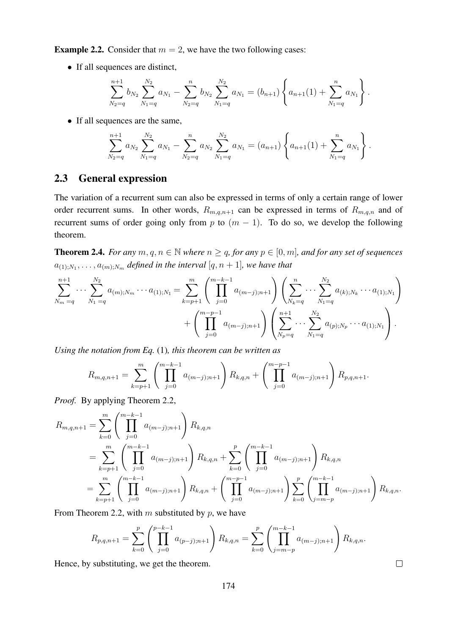**Example 2.2.** Consider that  $m = 2$ , we have the two following cases:

• If all sequences are distinct,

$$
\sum_{N_2=q}^{n+1} b_{N_2} \sum_{N_1=q}^{N_2} a_{N_1} - \sum_{N_2=q}^{n} b_{N_2} \sum_{N_1=q}^{N_2} a_{N_1} = (b_{n+1}) \left\{ a_{n+1}(1) + \sum_{N_1=q}^{n} a_{N_1} \right\}.
$$

• If all sequences are the same,

$$
\sum_{N_2=q}^{n+1} a_{N_2} \sum_{N_1=q}^{N_2} a_{N_1} - \sum_{N_2=q}^{n} a_{N_2} \sum_{N_1=q}^{N_2} a_{N_1} = (a_{n+1}) \left\{ a_{n+1}(1) + \sum_{N_1=q}^{n} a_{N_1} \right\}.
$$

#### 2.3 General expression

The variation of a recurrent sum can also be expressed in terms of only a certain range of lower order recurrent sums. In other words,  $R_{m,q,n+1}$  can be expressed in terms of  $R_{m,q,n}$  and of recurrent sums of order going only from p to  $(m - 1)$ . To do so, we develop the following theorem.

**Theorem 2.4.** *For any*  $m, q, n \in \mathbb{N}$  *where*  $n \geq q$ *, for any*  $p \in [0, m]$ *, and for any set of sequences*  $a_{(1);N_1},\ldots,a_{(m);N_m}$  defined in the interval  $[q,n+1]$ , we have that

$$
\sum_{N_m=q}^{n+1} \cdots \sum_{N_1=q}^{N_2} a_{(m);N_m} \cdots a_{(1);N_1} = \sum_{k=p+1}^m \left( \prod_{j=0}^{m-k-1} a_{(m-j);n+1} \right) \left( \sum_{N_k=q}^n \cdots \sum_{N_1=q}^{N_2} a_{(k);N_k} \cdots a_{(1);N_1} \right) + \left( \prod_{j=0}^{m-p-1} a_{(m-j);n+1} \right) \left( \sum_{N_p=q}^{n+1} \cdots \sum_{N_1=q}^{N_2} a_{(p);N_p} \cdots a_{(1);N_1} \right).
$$

*Using the notation from Eq.* (1)*, this theorem can be written as*

$$
R_{m,q,n+1} = \sum_{k=p+1}^{m} \left( \prod_{j=0}^{m-k-1} a_{(m-j);n+1} \right) R_{k,q,n} + \left( \prod_{j=0}^{m-p-1} a_{(m-j);n+1} \right) R_{p,q,n+1}.
$$

*Proof.* By applying Theorem 2.2,

$$
R_{m,q,n+1} = \sum_{k=0}^{m} \left( \prod_{j=0}^{m-k-1} a_{(m-j);n+1} \right) R_{k,q,n}
$$
  
= 
$$
\sum_{k=p+1}^{m} \left( \prod_{j=0}^{m-k-1} a_{(m-j);n+1} \right) R_{k,q,n} + \sum_{k=0}^{p} \left( \prod_{j=0}^{m-k-1} a_{(m-j);n+1} \right) R_{k,q,n}
$$
  
= 
$$
\sum_{k=p+1}^{m} \left( \prod_{j=0}^{m-k-1} a_{(m-j);n+1} \right) R_{k,q,n} + \left( \prod_{j=0}^{m-p-1} a_{(m-j);n+1} \right) \sum_{k=0}^{p} \left( \prod_{j=m-p}^{m-k-1} a_{(m-j);n+1} \right) R_{k,q,n}.
$$

From Theorem 2.2, with  $m$  substituted by  $p$ , we have

$$
R_{p,q,n+1} = \sum_{k=0}^{p} \left( \prod_{j=0}^{p-k-1} a_{(p-j);n+1} \right) R_{k,q,n} = \sum_{k=0}^{p} \left( \prod_{j=m-p}^{m-k-1} a_{(m-j);n+1} \right) R_{k,q,n}.
$$

 $\Box$ 

Hence, by substituting, we get the theorem.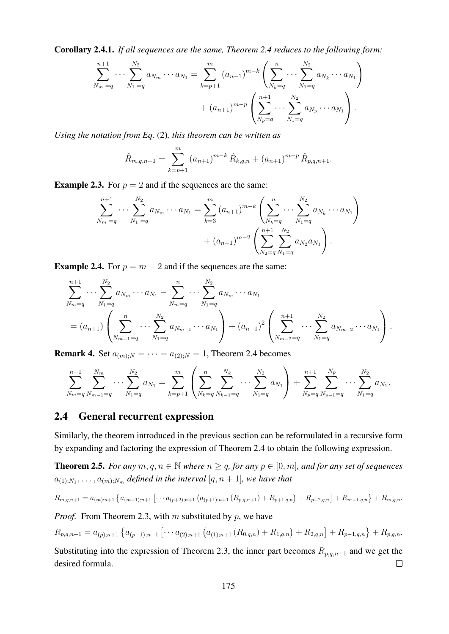Corollary 2.4.1. *If all sequences are the same, Theorem 2.4 reduces to the following form:*

$$
\sum_{N_m=q}^{n+1} \cdots \sum_{N_1=q}^{N_2} a_{N_m} \cdots a_{N_1} = \sum_{k=p+1}^m (a_{n+1})^{m-k} \left( \sum_{N_k=q}^n \cdots \sum_{N_1=q}^{N_2} a_{N_k} \cdots a_{N_1} \right) + (a_{n+1})^{m-p} \left( \sum_{N_p=q}^{n+1} \cdots \sum_{N_1=q}^{N_2} a_{N_p} \cdots a_{N_1} \right).
$$

*Using the notation from Eq.* (2)*, this theorem can be written as*

$$
\hat{R}_{m,q,n+1} = \sum_{k=p+1}^{m} (a_{n+1})^{m-k} \hat{R}_{k,q,n} + (a_{n+1})^{m-p} \hat{R}_{p,q,n+1}.
$$

**Example 2.3.** For  $p = 2$  and if the sequences are the same:

$$
\sum_{N_m=q}^{n+1} \cdots \sum_{N_1=q}^{N_2} a_{N_m} \cdots a_{N_1} = \sum_{k=3}^m (a_{n+1})^{m-k} \left( \sum_{N_k=q}^n \cdots \sum_{N_1=q}^{N_2} a_{N_k} \cdots a_{N_1} \right) + (a_{n+1})^{m-2} \left( \sum_{N_2=q}^{n+1} \sum_{N_1=q}^{N_2} a_{N_2} a_{N_1} \right).
$$

**Example 2.4.** For  $p = m - 2$  and if the sequences are the same:

$$
\sum_{N_m=q}^{n+1} \cdots \sum_{N_1=q}^{N_2} a_{N_m} \cdots a_{N_1} - \sum_{N_m=q}^{n} \cdots \sum_{N_1=q}^{N_2} a_{N_m} \cdots a_{N_1}
$$
\n
$$
= (a_{n+1}) \left( \sum_{N_{m-1}=q}^{n} \cdots \sum_{N_1=q}^{N_2} a_{N_{m-1}} \cdots a_{N_1} \right) + (a_{n+1})^2 \left( \sum_{N_{m-2}=q}^{n+1} \cdots \sum_{N_1=q}^{N_2} a_{N_{m-2}} \cdots a_{N_1} \right).
$$

**Remark 4.** Set  $a_{(m):N} = \cdots = a_{(2):N} = 1$ , Theorem 2.4 becomes

$$
\sum_{N_m=q}^{n+1} \sum_{N_{m-1}=q}^{N_m} \cdots \sum_{N_1=q}^{N_2} a_{N_1} = \sum_{k=p+1}^m \left( \sum_{N_k=q}^n \sum_{N_{k-1}=q}^{N_k} \cdots \sum_{N_1=q}^{N_2} a_{N_1} \right) + \sum_{N_p=q}^{n+1} \sum_{N_{p-1}=q}^{N_p} \cdots \sum_{N_1=q}^{N_2} a_{N_1}.
$$

### 2.4 General recurrent expression

Similarly, the theorem introduced in the previous section can be reformulated in a recursive form by expanding and factoring the expression of Theorem 2.4 to obtain the following expression.

**Theorem 2.5.** *For any*  $m, q, n \in \mathbb{N}$  *where*  $n \geq q$ *, for any*  $p \in [0, m]$ *, and for any set of sequences*  $a_{(1);N_1}, \ldots, a_{(m);N_m}$  defined in the interval  $[q, n+1]$ , we have that

$$
R_{m,q,n+1} = a_{(m);n+1} \left\{ a_{(m-1);n+1} \left[ \cdots a_{(p+2);n+1} \left( a_{(p+1);n+1} \left( R_{p,q,n+1} \right) + R_{p+1,q,n} \right) + R_{p+2,q,n} \right] + R_{m-1,q,n} \right\} + R_{m,q,n}.
$$

*Proof.* From Theorem 2.3, with m substituted by  $p$ , we have

$$
R_{p,q,n+1} = a_{(p),n+1} \left\{ a_{(p-1),n+1} \left[ \cdots a_{(2),n+1} \left( a_{(1),n+1} \left( R_{0,q,n} \right) + R_{1,q,n} \right) + R_{2,q,n} \right] + R_{p-1,q,n} \right\} + R_{p,q,n}.
$$

Substituting into the expression of Theorem 2.3, the inner part becomes  $R_{p,q,n+1}$  and we get the desired formula.  $\Box$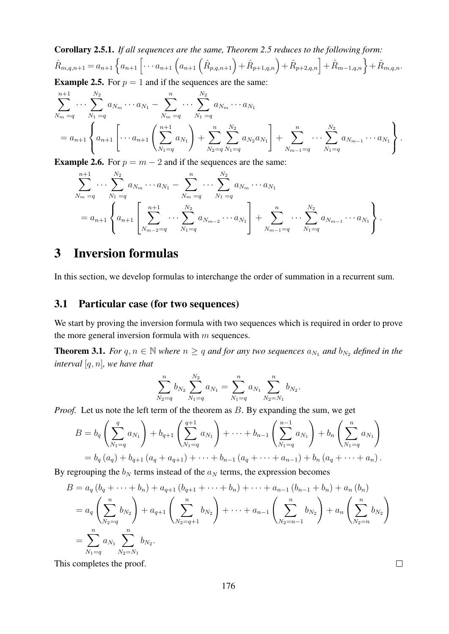Corollary 2.5.1. *If all sequences are the same, Theorem 2.5 reduces to the following form:*  $\hat{R}_{m,q,n+1} = a_{n+1} \left\{ a_{n+1} \left[ \cdots a_{n+1} \left( \hat{R}_{p,q,n+1} \right) + \hat{R}_{p+1,q,n} \right) + \hat{R}_{p+2,q,n} \right\} + \hat{R}_{m-1,q,n} \right\} + \hat{R}_{m,q,n}.$ 

**Example 2.5.** For  $p = 1$  and if the sequences are the same:

$$
\sum_{N_m=q}^{n+1} \cdots \sum_{N_1=q}^{N_2} a_{N_m} \cdots a_{N_1} - \sum_{N_m=q}^{n} \cdots \sum_{N_1=q}^{N_2} a_{N_m} \cdots a_{N_1}
$$
\n
$$
= a_{n+1} \left\{ a_{n+1} \left[ \cdots a_{n+1} \left( \sum_{N_1=q}^{n+1} a_{N_1} \right) + \sum_{N_2=q}^{n} \sum_{N_1=q}^{N_2} a_{N_2} a_{N_1} \right] + \sum_{N_{m-1}=q}^{n} \cdots \sum_{N_1=q}^{N_2} a_{N_{m-1}} \cdots a_{N_1} \right\}.
$$

**Example 2.6.** For  $p = m - 2$  and if the sequences are the same:

$$
\sum_{N_m=q}^{n+1} \cdots \sum_{N_1=q}^{N_2} a_{N_m} \cdots a_{N_1} - \sum_{N_m=q}^{n} \cdots \sum_{N_1=q}^{N_2} a_{N_m} \cdots a_{N_1}
$$
\n
$$
= a_{n+1} \left\{ a_{n+1} \left[ \sum_{N_{m-2}=q}^{n+1} \cdots \sum_{N_1=q}^{N_2} a_{N_{m-2}} \cdots a_{N_1} \right] + \sum_{N_{m-1}=q}^{n} \cdots \sum_{N_1=q}^{N_2} a_{N_{m-1}} \cdots a_{N_1} \right\}.
$$

# 3 Inversion formulas

In this section, we develop formulas to interchange the order of summation in a recurrent sum.

### 3.1 Particular case (for two sequences)

We start by proving the inversion formula with two sequences which is required in order to prove the more general inversion formula with  $m$  sequences.

**Theorem 3.1.** *For*  $q, n \in \mathbb{N}$  *where*  $n \geq q$  *and for any two sequences*  $a_{N_1}$  *and*  $b_{N_2}$  *defined in the interval* [q, n]*, we have that*

$$
\sum_{N_2=q}^n b_{N_2} \sum_{N_1=q}^{N_2} a_{N_1} = \sum_{N_1=q}^n a_{N_1} \sum_{N_2=N_1}^n b_{N_2}.
$$

*Proof.* Let us note the left term of the theorem as B. By expanding the sum, we get

$$
B = b_q \left( \sum_{N_1=q}^q a_{N_1} \right) + b_{q+1} \left( \sum_{N_1=q}^{q+1} a_{N_1} \right) + \dots + b_{n-1} \left( \sum_{N_1=q}^{n-1} a_{N_1} \right) + b_n \left( \sum_{N_1=q}^n a_{N_1} \right)
$$
  
=  $b_q (a_q) + b_{q+1} (a_q + a_{q+1}) + \dots + b_{n-1} (a_q + \dots + a_{n-1}) + b_n (a_q + \dots + a_n).$ 

By regrouping the  $b_N$  terms instead of the  $a_N$  terms, the expression becomes

$$
B = a_q (b_q + \dots + b_n) + a_{q+1} (b_{q+1} + \dots + b_n) + \dots + a_{n-1} (b_{n-1} + b_n) + a_n (b_n)
$$
  
=  $a_q \left( \sum_{N_2=q}^{n} b_{N_2} \right) + a_{q+1} \left( \sum_{N_2=q+1}^{n} b_{N_2} \right) + \dots + a_{n-1} \left( \sum_{N_2=n-1}^{n} b_{N_2} \right) + a_n \left( \sum_{N_2=n}^{n} b_{N_2} \right)$   
=  $\sum_{N_1=q}^{n} a_{N_1} \sum_{N_2=N_1}^{n} b_{N_2}.$ 

This completes the proof.

 $\Box$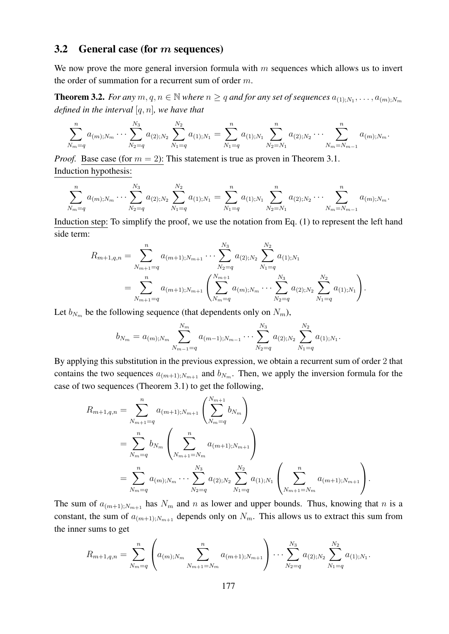### 3.2 General case (for  $m$  sequences)

We now prove the more general inversion formula with  $m$  sequences which allows us to invert the order of summation for a recurrent sum of order m.

**Theorem 3.2.** For any  $m, q, n \in \mathbb{N}$  where  $n \geq q$  and for any set of sequences  $a_{(1),N_1}, \ldots, a_{(m);N_m}$ *defined in the interval* [q, n]*, we have that*

$$
\sum_{N_m=q}^n a_{(m);N_m} \cdots \sum_{N_2=q}^{N_3} a_{(2);N_2} \sum_{N_1=q}^{N_2} a_{(1);N_1} = \sum_{N_1=q}^n a_{(1);N_1} \sum_{N_2=N_1}^n a_{(2);N_2} \cdots \sum_{N_m=N_{m-1}}^n a_{(m);N_m}.
$$

*Proof.* Base case (for  $m = 2$ ): This statement is true as proven in Theorem 3.1. Induction hypothesis:

$$
\sum_{N_m=q}^{n} a_{(m);N_m} \cdots \sum_{N_2=q}^{N_3} a_{(2);N_2} \sum_{N_1=q}^{N_2} a_{(1);N_1} = \sum_{N_1=q}^{n} a_{(1);N_1} \sum_{N_2=N_1}^{n} a_{(2);N_2} \cdots \sum_{N_m=N_{m-1}}^{n} a_{(m);N_m}.
$$

Induction step: To simplify the proof, we use the notation from Eq. (1) to represent the left hand side term:

$$
R_{m+1,q,n} = \sum_{N_{m+1}=q}^{n} a_{(m+1);N_{m+1}} \cdots \sum_{N_2=q}^{N_3} a_{(2);N_2} \sum_{N_1=q}^{N_2} a_{(1);N_1}
$$
  
= 
$$
\sum_{N_{m+1}=q}^{n} a_{(m+1);N_{m+1}} \left( \sum_{N_m=q}^{N_{m+1}} a_{(m);N_m} \cdots \sum_{N_2=q}^{N_3} a_{(2);N_2} \sum_{N_1=q}^{N_2} a_{(1);N_1} \right).
$$

Let  $b_{N_m}$  be the following sequence (that dependents only on  $N_m$ ),

$$
b_{N_m} = a_{(m);N_m} \sum_{N_{m-1}=q}^{N_m} a_{(m-1);N_{m-1}} \cdots \sum_{N_2=q}^{N_3} a_{(2);N_2} \sum_{N_1=q}^{N_2} a_{(1);N_1}.
$$

By applying this substitution in the previous expression, we obtain a recurrent sum of order 2 that contains the two sequences  $a_{(m+1):N_{m+1}}$  and  $b_{N_m}$ . Then, we apply the inversion formula for the case of two sequences (Theorem 3.1) to get the following,

$$
R_{m+1,q,n} = \sum_{N_{m+1}=q}^{n} a_{(m+1);N_{m+1}} \left( \sum_{N_{m}=q}^{N_{m+1}} b_{N_{m}} \right)
$$
  
= 
$$
\sum_{N_{m}=q}^{n} b_{N_{m}} \left( \sum_{N_{m+1}=N_{m}}^{n} a_{(m+1);N_{m+1}} \right)
$$
  
= 
$$
\sum_{N_{m}=q}^{n} a_{(m);N_{m}} \cdots \sum_{N_{2}=q}^{N_{3}} a_{(2);N_{2}} \sum_{N_{1}=q}^{N_{2}} a_{(1);N_{1}} \left( \sum_{N_{m+1}=N_{m}}^{n} a_{(m+1);N_{m+1}} \right).
$$

The sum of  $a_{(m+1);N_{m+1}}$  has  $N_m$  and n as lower and upper bounds. Thus, knowing that n is a constant, the sum of  $a_{(m+1);N_{m+1}}$  depends only on  $N_m$ . This allows us to extract this sum from the inner sums to get

$$
R_{m+1,q,n} = \sum_{N_m=q}^{n} \left( a_{(m);N_m} \sum_{N_{m+1}=N_m}^{n} a_{(m+1);N_{m+1}} \right) \cdots \sum_{N_2=q}^{N_3} a_{(2);N_2} \sum_{N_1=q}^{N_2} a_{(1);N_1}.
$$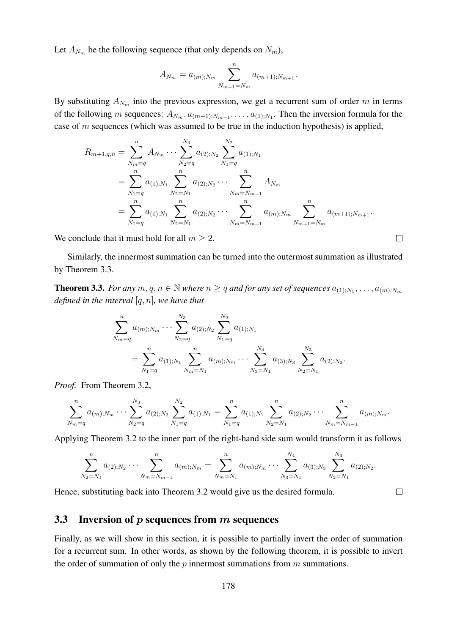Let  $A_{N_m}$  be the following sequence (that only depends on  $N_m$ ),

$$
A_{N_m} = a_{(m);N_m} \sum_{N_{m+1}=N_m}^{n} a_{(m+1);N_{m+1}}.
$$

By substituting  $A_{N_m}$  into the previous expression, we get a recurrent sum of order m in terms of the following m sequences:  $A_{N_m}, a_{(m-1);N_{m-1}}, \ldots, a_{(1);N_1}$ . Then the inversion formula for the case of  $m$  sequences (which was assumed to be true in the induction hypothesis) is applied,

$$
R_{m+1,q,n} = \sum_{N_m=q}^{n} A_{N_m} \cdots \sum_{N_2=q}^{N_3} a_{(2);N_2} \sum_{N_1=q}^{N_2} a_{(1);N_1}
$$
  
= 
$$
\sum_{N_1=q}^{n} a_{(1);N_1} \sum_{N_2=N_1}^{n} a_{(2);N_2} \cdots \sum_{N_m=N_{m-1}}^{n} A_{N_m}
$$
  
= 
$$
\sum_{N_1=q}^{n} a_{(1);N_1} \sum_{N_2=N_1}^{n} a_{(2);N_2} \cdots \sum_{N_m=N_{m-1}}^{n} a_{(m);N_m} \sum_{N_{m+1}=N_m}^{n} a_{(m+1);N_{m+1}}.
$$

 $\Box$ 

 $\Box$ 

We conclude that it must hold for all  $m \geq 2$ .

Similarly, the innermost summation can be turned into the outermost summation as illustrated by Theorem 3.3.

**Theorem 3.3.** For any  $m, q, n \in \mathbb{N}$  where  $n \geq q$  and for any set of sequences  $a_{(1),N_1}, \ldots, a_{(m);N_m}$ *defined in the interval* [q, n]*, we have that*

$$
\sum_{N_m=q}^{n} a_{(m);N_m} \cdots \sum_{N_2=q}^{N_3} a_{(2);N_2} \sum_{N_1=q}^{N_2} a_{(1);N_1}
$$
  
= 
$$
\sum_{N_1=q}^{n} a_{(1);N_1} \sum_{N_m=N_1}^{n} a_{(m);N_m} \cdots \sum_{N_3=N_1}^{N_4} a_{(3);N_3} \sum_{N_2=N_1}^{N_3} a_{(2);N_2}.
$$

*Proof.* From Theorem 3.2,

$$
\sum_{N_m=q}^n a_{(m);N_m} \cdots \sum_{N_2=q}^{N_3} a_{(2);N_2} \sum_{N_1=q}^{N_2} a_{(1);N_1} = \sum_{N_1=q}^n a_{(1);N_1} \sum_{N_2=N_1}^n a_{(2);N_2} \cdots \sum_{N_m=N_{m-1}}^n a_{(m);N_m}.
$$

Applying Theorem 3.2 to the inner part of the right-hand side sum would transform it as follows

$$
\sum_{N_2=N_1}^n a_{(2);N_2}\cdots \sum_{N_m=N_{m-1}}^n a_{(m);N_m} = \sum_{N_m=N_1}^n a_{(m);N_m}\cdots \sum_{N_3=N_1}^{N_4} a_{(3);N_3} \sum_{N_2=N_1}^{N_3} a_{(2);N_2}.
$$

Hence, substituting back into Theorem 3.2 would give us the desired formula.

### 3.3 Inversion of  $p$  sequences from  $m$  sequences

Finally, as we will show in this section, it is possible to partially invert the order of summation for a recurrent sum. In other words, as shown by the following theorem, it is possible to invert the order of summation of only the  $p$  innermost summations from  $m$  summations.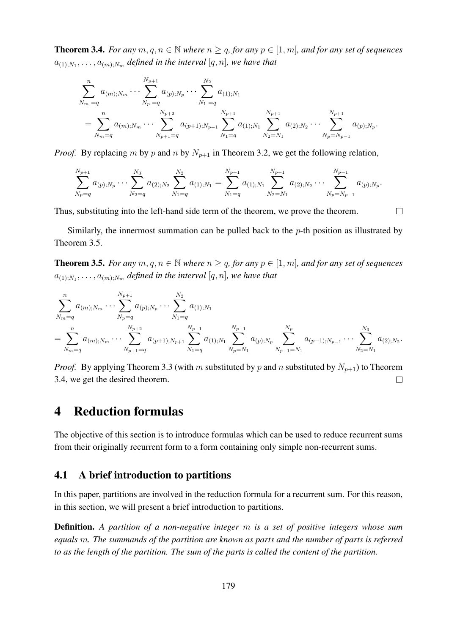**Theorem 3.4.** *For any*  $m, q, n \in \mathbb{N}$  *where*  $n \geq q$ *, for any*  $p \in [1, m]$ *, and for any set of sequences*  $a_{(1);N_1},\ldots,a_{(m);N_m}$  defined in the interval  $[q,n]$ , we have that

$$
\sum_{N_m=q}^{n} a_{(m);N_m} \cdots \sum_{N_p=q}^{N_{p+1}} a_{(p);N_p} \cdots \sum_{N_1=q}^{N_2} a_{(1);N_1}
$$
\n
$$
= \sum_{N_m=q}^{n} a_{(m);N_m} \cdots \sum_{N_{p+1}=q}^{N_{p+2}} a_{(p+1);N_{p+1}} \sum_{N_1=q}^{N_{p+1}} a_{(1);N_1} \sum_{N_2=N_1}^{N_{p+1}} a_{(2);N_2} \cdots \sum_{N_p=N_{p-1}}^{N_{p+1}} a_{(p);N_p}.
$$

*Proof.* By replacing m by p and n by  $N_{p+1}$  in Theorem 3.2, we get the following relation,

$$
\sum_{N_p=q}^{N_{p+1}} a_{(p);N_p} \cdots \sum_{N_2=q}^{N_3} a_{(2);N_2} \sum_{N_1=q}^{N_2} a_{(1);N_1} = \sum_{N_1=q}^{N_{p+1}} a_{(1);N_1} \sum_{N_2=N_1}^{N_{p+1}} a_{(2);N_2} \cdots \sum_{N_p=N_{p-1}}^{N_{p+1}} a_{(p);N_p}.
$$

 $\Box$ 

Thus, substituting into the left-hand side term of the theorem, we prove the theorem.

Similarly, the innermost summation can be pulled back to the  $p$ -th position as illustrated by Theorem 3.5.

**Theorem 3.5.** *For any*  $m, q, n \in \mathbb{N}$  *where*  $n \geq q$ *, for any*  $p \in [1, m]$ *, and for any set of sequences*  $a_{(1);N_1}, \ldots, a_{(m);N_m}$  defined in the interval  $[q, n]$ , we have that

$$
\sum_{N_m=q}^{n} a_{(m);N_m} \cdots \sum_{N_p=q}^{N_{p+1}} a_{(p);N_p} \cdots \sum_{N_1=q}^{N_2} a_{(1);N_1}
$$
\n
$$
= \sum_{N_m=q}^{n} a_{(m);N_m} \cdots \sum_{N_{p+1}=q}^{N_{p+2}} a_{(p+1);N_{p+1}} \sum_{N_1=q}^{N_{p+1}} a_{(1);N_1} \sum_{N_p=N_1}^{N_{p+1}} a_{(p);N_p} \sum_{N_{p-1}=N_1}^{N_p} a_{(p-1);N_{p-1}} \cdots \sum_{N_2=N_1}^{N_3} a_{(2);N_2}.
$$

*Proof.* By applying Theorem 3.3 (with m substituted by p and n substituted by  $N_{p+1}$ ) to Theorem 3.4, we get the desired theorem.  $\Box$ 

# 4 Reduction formulas

The objective of this section is to introduce formulas which can be used to reduce recurrent sums from their originally recurrent form to a form containing only simple non-recurrent sums.

### 4.1 A brief introduction to partitions

In this paper, partitions are involved in the reduction formula for a recurrent sum. For this reason, in this section, we will present a brief introduction to partitions.

Definition. *A partition of a non-negative integer* m *is a set of positive integers whose sum equals* m*. The summands of the partition are known as parts and the number of parts is referred to as the length of the partition. The sum of the parts is called the content of the partition.*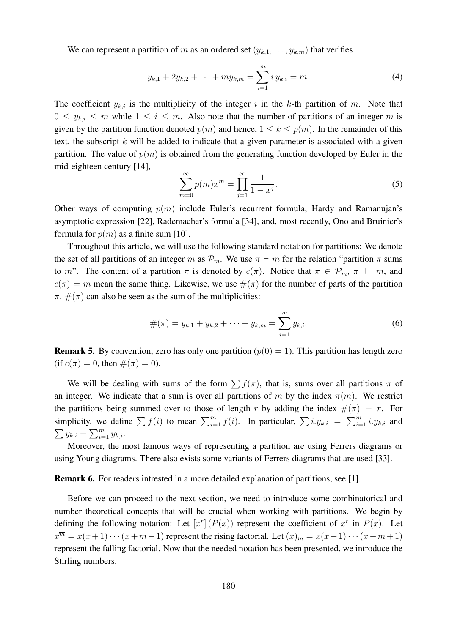We can represent a partition of m as an ordered set  $(y_{k,1}, \ldots, y_{k,m})$  that verifies

$$
y_{k,1} + 2y_{k,2} + \dots + my_{k,m} = \sum_{i=1}^{m} i y_{k,i} = m.
$$
 (4)

The coefficient  $y_{k,i}$  is the multiplicity of the integer i in the k-th partition of m. Note that  $0 \leq y_{k,i} \leq m$  while  $1 \leq i \leq m$ . Also note that the number of partitions of an integer m is given by the partition function denoted  $p(m)$  and hence,  $1 \leq k \leq p(m)$ . In the remainder of this text, the subscript  $k$  will be added to indicate that a given parameter is associated with a given partition. The value of  $p(m)$  is obtained from the generating function developed by Euler in the mid-eighteen century [14],

$$
\sum_{m=0}^{\infty} p(m)x^m = \prod_{j=1}^{\infty} \frac{1}{1 - x^j}.
$$
 (5)

Other ways of computing  $p(m)$  include Euler's recurrent formula, Hardy and Ramanujan's asymptotic expression [22], Rademacher's formula [34], and, most recently, Ono and Bruinier's formula for  $p(m)$  as a finite sum [10].

Throughout this article, we will use the following standard notation for partitions: We denote the set of all partitions of an integer m as  $\mathcal{P}_m$ . We use  $\pi \vdash m$  for the relation "partition  $\pi$  sums to m". The content of a partition  $\pi$  is denoted by  $c(\pi)$ . Notice that  $\pi \in \mathcal{P}_m$ ,  $\pi \vdash m$ , and  $c(\pi) = m$  mean the same thing. Likewise, we use  $\#(\pi)$  for the number of parts of the partition  $\pi$ .  $\#(\pi)$  can also be seen as the sum of the multiplicities:

$$
\#(\pi) = y_{k,1} + y_{k,2} + \dots + y_{k,m} = \sum_{i=1}^{m} y_{k,i}.
$$
 (6)

**Remark 5.** By convention, zero has only one partition ( $p(0) = 1$ ). This partition has length zero (if  $c(\pi) = 0$ , then  $\#(\pi) = 0$ ).

We will be dealing with sums of the form  $\sum f(\pi)$ , that is, sums over all partitions  $\pi$  of an integer. We indicate that a sum is over all partitions of m by the index  $\pi(m)$ . We restrict the partitions being summed over to those of length r by adding the index  $\#(\pi) = r$ . For simplicity, we define  $\sum f(i)$  to mean  $\sum_{i=1}^{m} f(i)$ . In particular,  $\sum i.y_{k,i} = \sum_{i=1}^{m} i.y_{k,i}$  and  $\sum y_{k,i} = \sum_{i=1}^{m} y_{k,i}.$ 

Moreover, the most famous ways of representing a partition are using Ferrers diagrams or using Young diagrams. There also exists some variants of Ferrers diagrams that are used [33].

Remark 6. For readers intrested in a more detailed explanation of partitions, see [1].

Before we can proceed to the next section, we need to introduce some combinatorical and number theoretical concepts that will be crucial when working with partitions. We begin by defining the following notation: Let  $[x^r](P(x))$  represent the coefficient of  $x^r$  in  $P(x)$ . Let  $x^{\overline{m}} = x(x+1)\cdots(x+m-1)$  represent the rising factorial. Let  $(x)_m = x(x-1)\cdots(x-m+1)$ represent the falling factorial. Now that the needed notation has been presented, we introduce the Stirling numbers.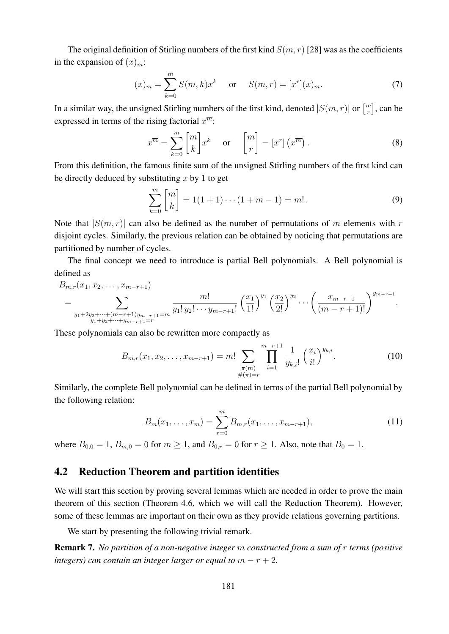The original definition of Stirling numbers of the first kind  $S(m, r)$  [28] was as the coefficients in the expansion of  $(x)_m$ :

$$
(x)_m = \sum_{k=0}^m S(m,k)x^k \quad \text{or} \quad S(m,r) = [x^r](x)_m.
$$
 (7)

In a similar way, the unsigned Stirling numbers of the first kind, denoted  $|S(m, r)|$  or  $\binom{m}{r}$  $\binom{m}{r}$ , can be expressed in terms of the rising factorial  $x^{\overline{m}}$ :

$$
x^{\overline{m}} = \sum_{k=0}^{m} \begin{bmatrix} m \\ k \end{bmatrix} x^k \quad \text{or} \quad \begin{bmatrix} m \\ r \end{bmatrix} = \begin{bmatrix} x^r \end{bmatrix} \begin{pmatrix} x^{\overline{m}} \end{pmatrix} . \tag{8}
$$

From this definition, the famous finite sum of the unsigned Stirling numbers of the first kind can be directly deduced by substituting  $x$  by 1 to get

$$
\sum_{k=0}^{m} \begin{bmatrix} m \\ k \end{bmatrix} = 1(1+1)\cdots(1+m-1) = m! \,. \tag{9}
$$

Note that  $|S(m, r)|$  can also be defined as the number of permutations of m elements with r disjoint cycles. Similarly, the previous relation can be obtained by noticing that permutations are partitioned by number of cycles.

The final concept we need to introduce is partial Bell polynomials. A Bell polynomial is defined as

$$
B_{m,r}(x_1, x_2, \ldots, x_{m-r+1})
$$
\n
$$
= \sum_{\substack{y_1+2y_2+\cdots+(m-r+1)y_{m-r+1}=m\\y_1+y_2+\cdots+y_{m-r+1}=r}} \frac{m!}{y_1! \, y_2! \cdots y_{m-r+1}!} \left(\frac{x_1}{1!}\right)^{y_1} \left(\frac{x_2}{2!}\right)^{y_2} \cdots \left(\frac{x_{m-r+1}}{(m-r+1)!}\right)^{y_{m-r+1}}.
$$

These polynomials can also be rewritten more compactly as

$$
B_{m,r}(x_1, x_2, \dots, x_{m-r+1}) = m! \sum_{\substack{\pi(m) \\ \#(\pi)=r}} \prod_{i=1}^{m-r+1} \frac{1}{y_{k,i}!} \left(\frac{x_i}{i!}\right)^{y_{k,i}}.
$$
 (10)

Similarly, the complete Bell polynomial can be defined in terms of the partial Bell polynomial by the following relation:

$$
B_m(x_1,\ldots,x_m) = \sum_{r=0}^m B_{m,r}(x_1,\ldots,x_{m-r+1}),
$$
\n(11)

where  $B_{0,0} = 1$ ,  $B_{m,0} = 0$  for  $m \ge 1$ , and  $B_{0,r} = 0$  for  $r \ge 1$ . Also, note that  $B_0 = 1$ .

#### 4.2 Reduction Theorem and partition identities

We will start this section by proving several lemmas which are needed in order to prove the main theorem of this section (Theorem 4.6, which we will call the Reduction Theorem). However, some of these lemmas are important on their own as they provide relations governing partitions.

We start by presenting the following trivial remark.

Remark 7. *No partition of a non-negative integer* m *constructed from a sum of* r *terms (positive integers) can contain an integer larger or equal to*  $m - r + 2$ *.*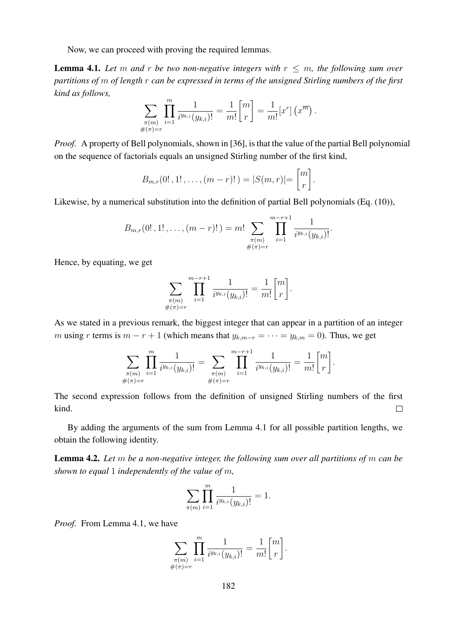Now, we can proceed with proving the required lemmas.

**Lemma 4.1.** Let m and r be two non-negative integers with  $r \leq m$ , the following sum over *partitions of* m *of length* r *can be expressed in terms of the unsigned Stirling numbers of the first kind as follows,*

$$
\sum_{\substack{\pi(m) \\ \#(\pi)=r}} \prod_{i=1}^m \frac{1}{i^{y_{k,i}}(y_{k,i})!} = \frac{1}{m!} \begin{bmatrix} m \\ r \end{bmatrix} = \frac{1}{m!} [x^r] (x^{\overline{m}}).
$$

*Proof.* A property of Bell polynomials, shown in [36], is that the value of the partial Bell polynomial on the sequence of factorials equals an unsigned Stirling number of the first kind,

$$
B_{m,r}(0!,1!,\ldots,(m-r)!)=|S(m,r)|=\binom{m}{r}.
$$

Likewise, by a numerical substitution into the definition of partial Bell polynomials (Eq. (10)),

$$
B_{m,r}(0!,1!,\ldots,(m-r)!) = m! \sum_{\substack{\pi(m) \\ \#(\pi)=r}} \prod_{i=1}^{m-r+1} \frac{1}{i^{y_{k,i}}(y_{k,i})!}.
$$

Hence, by equating, we get

$$
\sum_{\substack{\pi(m) \\ \#(\pi)=r}} \prod_{i=1}^{m-r+1} \frac{1}{i^{y_{k,i}}(y_{k,i})!} = \frac{1}{m!} \binom{m}{r}.
$$

As we stated in a previous remark, the biggest integer that can appear in a partition of an integer m using r terms is  $m - r + 1$  (which means that  $y_{k,m-r} = \cdots = y_{k,m} = 0$ ). Thus, we get

$$
\sum_{\substack{\pi(m) \\ \#(\pi)=r}} \prod_{i=1}^m \frac{1}{i^{y_{k,i}}(y_{k,i})!} = \sum_{\substack{\pi(m) \\ \#(\pi)=r}} \prod_{i=1}^{m-r+1} \frac{1}{i^{y_{k,i}}(y_{k,i})!} = \frac{1}{m!} {m \brack r}.
$$

The second expression follows from the definition of unsigned Stirling numbers of the first kind.  $\Box$ 

By adding the arguments of the sum from Lemma 4.1 for all possible partition lengths, we obtain the following identity.

Lemma 4.2. *Let* m *be a non-negative integer, the following sum over all partitions of* m *can be shown to equal* 1 *independently of the value of* m*,*

$$
\sum_{\pi(m)} \prod_{i=1}^m \frac{1}{i^{y_{k,i}}(y_{k,i})!} = 1.
$$

*Proof.* From Lemma 4.1, we have

$$
\sum_{\substack{\pi(m) \\ \#(\pi)=r}} \prod_{i=1}^m \frac{1}{i^{y_{k,i}}(y_{k,i})!} = \frac{1}{m!} \begin{bmatrix} m \\ r \end{bmatrix}.
$$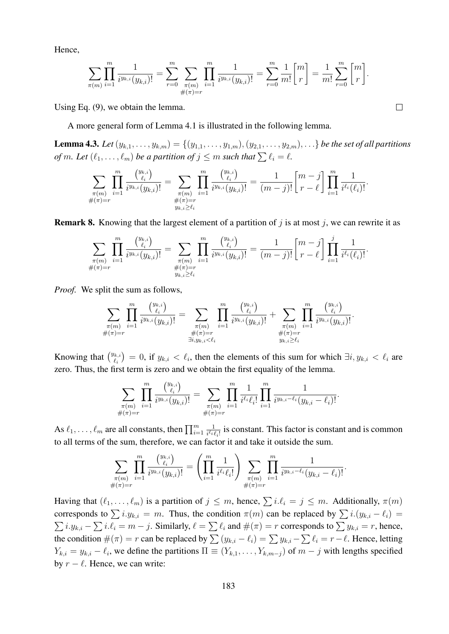Hence,

$$
\sum_{\pi(m)} \prod_{i=1}^m \frac{1}{i^{y_{k,i}}(y_{k,i})!} = \sum_{r=0}^m \sum_{\substack{\pi(m) \\ \#(\pi)=r}} \prod_{i=1}^m \frac{1}{i^{y_{k,i}}(y_{k,i})!} = \sum_{r=0}^m \frac{1}{m!} \binom{m}{r} = \frac{1}{m!} \sum_{r=0}^m \binom{m}{r}.
$$

 $\Box$ 

Using Eq. (9), we obtain the lemma.

A more general form of Lemma 4.1 is illustrated in the following lemma.

**Lemma 4.3.** Let  $(y_{k,1},...,y_{k,m}) = \{(y_{1,1},...,y_{1,m}), (y_{2,1},...,y_{2,m}), ...\}$  be the set of all partitions *of* m. Let  $(\ell_1, \ldots, \ell_m)$  *be a partition of*  $j \leq m$  *such that*  $\sum \ell_i = \ell$ *.* 

$$
\sum_{\substack{\pi(m) \\ \#(\pi)=r}} \prod_{i=1}^m \frac{\binom{y_{k,i}}{\ell_i}}{i^{y_{k,i}}(y_{k,i})!} = \sum_{\substack{\pi(m) \\ \#(\pi)=r \\ y_{k,i} \geq \ell_i}} \prod_{i=1}^m \frac{\binom{y_{k,i}}{\ell_i}}{i^{y_{k,i}}(y_{k,i})!} = \frac{1}{(m-j)!} \binom{m-j}{r-\ell} \prod_{i=1}^m \frac{1}{i^{\ell_i}(\ell_i)!}.
$$

**Remark 8.** Knowing that the largest element of a partition of  $j$  is at most  $j$ , we can rewrite it as

$$
\sum_{\substack{\pi(m) \\ \#(\pi)=r}} \prod_{i=1}^m \frac{\binom{y_{k,i}}{\ell_i}}{i^{y_{k,i}}(y_{k,i})!} = \sum_{\substack{\pi(m) \\ \#(\pi)=r \\ y_{k,i} \geq \ell_i}} \prod_{i=1}^m \frac{\binom{y_{k,i}}{\ell_i}}{i^{y_{k,i}}(y_{k,i})!} = \frac{1}{(m-j)!} \binom{m-j}{r-\ell} \prod_{i=1}^j \frac{1}{i^{\ell_i}(\ell_i)!}.
$$

*Proof.* We split the sum as follows,

$$
\sum_{\substack{\pi(m) \\ \#(\pi)=r}} \prod_{i=1}^m \frac{\binom{y_{k,i}}{\ell_i}}{i^{y_{k,i}}(y_{k,i})!} = \sum_{\substack{\pi(m) \\ \pi(\pi)=r \\ \exists i,y_k,i< \ell_i}} \prod_{i=1}^m \frac{\binom{y_{k,i}}{\ell_i}}{i^{y_{k,i}}(y_{k,i})!} + \sum_{\substack{\pi(m) \\ \pi(\pi)=r \\ y_{k,i}\geq \ell_i}} \prod_{i=1}^m \frac{\binom{y_{k,i}}{\ell_i}}{i^{y_{k,i}}(y_{k,i})!}.
$$

Knowing that  $\binom{y_{k,i}}{\ell}$  $\hat{y}_{k,i}^{(k,i)} = 0$ , if  $y_{k,i} < \ell_i$ , then the elements of this sum for which  $\exists i, y_{k,i} < \ell_i$  are zero. Thus, the first term is zero and we obtain the first equality of the lemma.

$$
\sum_{\substack{\pi(m) \\ \#(\pi)=r}} \prod_{i=1}^m \frac{\binom{y_{k,i}}{\ell_i}}{i^{y_{k,i}}(y_{k,i})!} = \sum_{\substack{\pi(m) \\ \#(\pi)=r}} \prod_{i=1}^m \frac{1}{i^{\ell_i} \ell_i!} \prod_{i=1}^m \frac{1}{i^{y_{k,i}-\ell_i}(y_{k,i}-\ell_i)!}.
$$

As  $\ell_1, \ldots, \ell_m$  are all constants, then  $\prod_{i=1}^m$ 1  $\frac{1}{i^{\ell_i} \ell_i!}$  is constant. This factor is constant and is common to all terms of the sum, therefore, we can factor it and take it outside the sum.

$$
\sum_{\substack{\pi(m) \\ \#(\pi)=r}} \prod_{i=1}^m \frac{\binom{y_{k,i}}{\ell_i}}{i^{y_{k,i}}(y_{k,i})!} = \left(\prod_{i=1}^m \frac{1}{i^{\ell_i} \ell_i!}\right) \sum_{\substack{\pi(m) \\ \#(\pi)=r}} \prod_{i=1}^m \frac{1}{i^{y_{k,i}-\ell_i}(y_{k,i}-\ell_i)!}.
$$

Having that  $(\ell_1, \ldots, \ell_m)$  is a partition of  $j \leq m$ , hence,  $\sum_i i \ell_i = j \leq m$ . Additionally,  $\pi(m)$ corresponds to  $\sum i.y_{k,i} = m$ . Thus, the condition  $\pi(m)$  can be replaced by  $\sum i.(y_{k,i} - \ell_i)$  $\sum i_y y_{k,i} - \sum i_y \ell_i = m - j$ . Similarly,  $\ell = \sum_i \ell_i$  and  $\#(\pi) = r$  corresponds to  $\sum_i y_{k,i} = r$ , hence, the condition  $\#(\pi) = r$  can be replaced by  $\sum_{i} (y_{k,i} - \ell_i) = \sum_{i} y_{k,i} - \sum_{i} \ell_i = r - \ell$ . Hence, letting  $Y_{k,i} = y_{k,i} - \ell_i$ , we define the partitions  $\Pi \equiv (Y_{k,1}, \ldots, Y_{k,m-j})$  of  $m-j$  with lengths specified by  $r - \ell$ . Hence, we can write: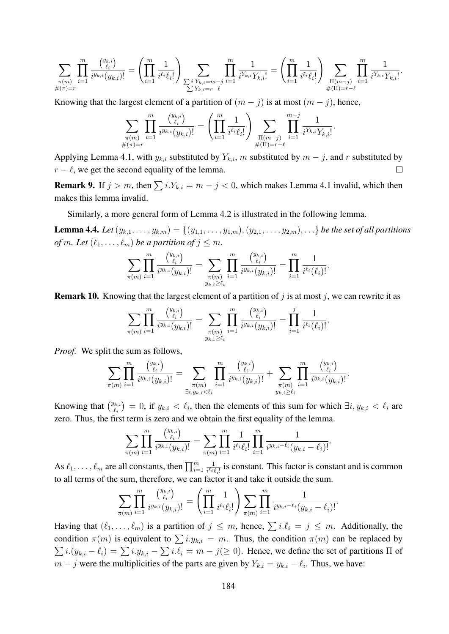$$
\sum_{\substack{\pi(m) \\ \#(\pi)=r}} \prod_{i=1}^m \frac{\binom{y_{k,i}}{\ell_i}}{i^{y_{k,i}}(y_{k,i})!} = \left(\prod_{i=1}^m \frac{1}{i^{\ell_i} \ell_i!}\right) \sum_{\substack{\sum i.Y_{k,i}=m-j \\ \sum Y_{k,i}=r-\ell}} \prod_{i=1}^m \frac{1}{i^{Y_{k,i}} Y_{k,i}!} = \left(\prod_{i=1}^m \frac{1}{i^{\ell_i} \ell_i!}\right) \sum_{\substack{\Pi(m-j) \\ \#(\Pi)=r-\ell}} \prod_{i=1}^m \frac{1}{i^{Y_{k,i}} Y_{k,i}!}.
$$

Knowing that the largest element of a partition of  $(m - j)$  is at most  $(m - j)$ , hence,

$$
\sum_{\substack{\pi(m) \\ \#(\pi)=r}} \prod_{i=1}^m \frac{\binom{y_{k,i}}{\ell_i}}{i^{y_{k,i}}(y_{k,i})!} = \left(\prod_{i=1}^m \frac{1}{i^{\ell_i} \ell_i!} \right) \sum_{\substack{\Pi(m-j) \\ \#(\Pi)=r-\ell}} \prod_{i=1}^{m-j} \frac{1}{i^{Y_{k,i}} Y_{k,i}!}.
$$

Applying Lemma 4.1, with  $y_{k,i}$  substituted by  $Y_{k,i}$ , m substituted by  $m - j$ , and r substituted by  $r - \ell$ , we get the second equality of the lemma.  $\Box$ 

**Remark 9.** If  $j > m$ , then  $\sum_{i} i.Y_{k,i} = m - j < 0$ , which makes Lemma 4.1 invalid, which then makes this lemma invalid.

Similarly, a more general form of Lemma 4.2 is illustrated in the following lemma.

**Lemma 4.4.** Let  $(y_{k,1},...,y_{k,m}) = \{(y_{1,1},...,y_{1,m}), (y_{2,1},...,y_{2,m}), ...\}$  be the set of all partitions *of* m. Let  $(\ell_1, \ldots, \ell_m)$  *be a partition of*  $j \leq m$ *.* 

$$
\sum_{\pi(m)} \prod_{i=1}^m \frac{\binom{y_{k,i}}{\ell_i}}{i^{y_{k,i}}(y_{k,i})!} = \sum_{\substack{\pi(m) \\ y_{k,i} \geq \ell_i}} \prod_{i=1}^m \frac{\binom{y_{k,i}}{\ell_i}}{i^{y_{k,i}}(y_{k,i})!} = \prod_{i=1}^m \frac{1}{i^{\ell_i}(\ell_i)!}.
$$

**Remark 10.** Knowing that the largest element of a partition of j is at most j, we can rewrite it as

$$
\sum_{\pi(m)} \prod_{i=1}^m \frac{\binom{y_{k,i}}{\ell_i}}{i^{y_{k,i}}(y_{k,i})!} = \sum_{\substack{\pi(m) \\ y_{k,i} \geq \ell_i}} \prod_{i=1}^m \frac{\binom{y_{k,i}}{\ell_i}}{i^{y_{k,i}}(y_{k,i})!} = \prod_{i=1}^j \frac{1}{i^{\ell_i}(\ell_i)!}.
$$

*Proof.* We split the sum as follows,

$$
\sum_{\pi(m)} \prod_{i=1}^m \frac{\binom{y_{k,i}}{\ell_i}}{i^{y_{k,i}}(y_{k,i})!} = \sum_{\substack{\pi(m) \\ \exists i, y_{k,i} < \ell_i}} \prod_{i=1}^m \frac{\binom{y_{k,i}}{\ell_i}}{i^{y_{k,i}}(y_{k,i})!} + \sum_{\substack{\pi(m) \\ y_{k,i} \geq \ell_i}} \prod_{i=1}^m \frac{\binom{y_{k,i}}{\ell_i}}{i^{y_{k,i}}(y_{k,i})!}.
$$

Knowing that  $\binom{y_{k,i}}{y_i}$  $\hat{y}_{k,i}^{(k,i)} = 0$ , if  $y_{k,i} < \ell_i$ , then the elements of this sum for which  $\exists i, y_{k,i} < \ell_i$  are zero. Thus, the first term is zero and we obtain the first equality of the lemma.

$$
\sum_{\pi(m)} \prod_{i=1}^m \frac{\binom{y_{k,i}}{\ell_i}}{i^{y_{k,i}}(y_{k,i})!} = \sum_{\pi(m)} \prod_{i=1}^m \frac{1}{i^{\ell_i} \ell_i!} \prod_{i=1}^m \frac{1}{i^{y_{k,i}-\ell_i}(y_{k,i}-\ell_i)!}.
$$

As  $\ell_1, \ldots, \ell_m$  are all constants, then  $\prod_{i=1}^m$ 1  $\frac{1}{i^{\ell_i} \ell_i!}$  is constant. This factor is constant and is common to all terms of the sum, therefore, we can factor it and take it outside the sum.

$$
\sum_{\pi(m)} \prod_{i=1}^m \frac{\binom{y_{k,i}}{\ell_i}}{i^{y_{k,i}}(y_{k,i})!} = \left(\prod_{i=1}^m \frac{1}{i^{\ell_i} \ell_i!}\right) \sum_{\pi(m)} \prod_{i=1}^m \frac{1}{i^{y_{k,i} - \ell_i}(y_{k,i} - \ell_i)!}.
$$

Having that  $(\ell_1, \ldots, \ell_m)$  is a partition of  $j \leq m$ , hence,  $\sum i \ell_i = j \leq m$ . Additionally, the condition  $\pi(m)$  is equivalent to  $\sum i.y_{k,i} = m$ . Thus, the condition  $\pi(m)$  can be replaced by  $\sum i.(y_{k,i} - \ell_i) = \sum i.y_{k,i} - \sum i.\ell_i = m - j(\geq 0)$ . Hence, we define the set of partitions  $\Pi$  of  $m - j$  were the multiplicities of the parts are given by  $Y_{k,i} = y_{k,i} - \ell_i$ . Thus, we have: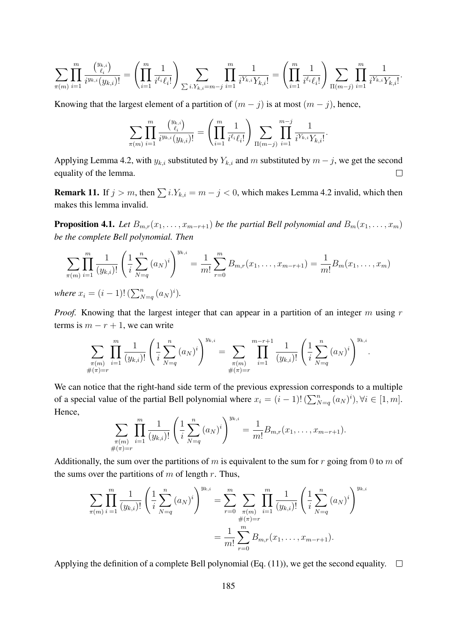$$
\sum_{\pi(m)} \prod_{i=1}^m \frac{\binom{y_{k,i}}{\ell_i}}{i^{y_{k,i}}(y_{k,i})!} = \left( \prod_{i=1}^m \frac{1}{i^{\ell_i} \ell_i!} \right) \sum_{\sum i.Y_{k,i}=m-j} \prod_{i=1}^m \frac{1}{i^{Y_{k,i}} Y_{k,i}!} = \left( \prod_{i=1}^m \frac{1}{i^{\ell_i} \ell_i!} \right) \sum_{\Pi(m-j)} \prod_{i=1}^m \frac{1}{i^{Y_{k,i}} Y_{k,i}!}.
$$

Knowing that the largest element of a partition of  $(m - j)$  is at most  $(m - j)$ , hence,

$$
\sum_{\pi(m)} \prod_{i=1}^m \frac{\binom{y_{k,i}}{\ell_i}}{i^{y_{k,i}}(y_{k,i})!} = \left(\prod_{i=1}^m \frac{1}{i^{\ell_i} \ell_i!}\right) \sum_{\Pi(m-j)} \prod_{i=1}^{m-j} \frac{1}{i^{Y_{k,i}} Y_{k,i}!}.
$$

Applying Lemma 4.2, with  $y_{k,i}$  substituted by  $Y_{k,i}$  and m substituted by  $m - j$ , we get the second equality of the lemma.  $\Box$ 

**Remark 11.** If  $j > m$ , then  $\sum i.Y_{k,i} = m - j < 0$ , which makes Lemma 4.2 invalid, which then makes this lemma invalid.

**Proposition 4.1.** *Let*  $B_{m,r}(x_1,\ldots,x_{m-r+1})$  *be the partial Bell polynomial and*  $B_m(x_1,\ldots,x_m)$ *be the complete Bell polynomial. Then*

$$
\sum_{\pi(m)} \prod_{i=1}^m \frac{1}{(y_{k,i})!} \left( \frac{1}{i} \sum_{N=q}^n (a_N)^i \right)^{y_{k,i}} = \frac{1}{m!} \sum_{r=0}^m B_{m,r}(x_1, \dots, x_{m-r+1}) = \frac{1}{m!} B_m(x_1, \dots, x_m)
$$

*where*  $x_i = (i-1)! \left( \sum_{N=q}^{n} (a_N)^i \right)$ .

*Proof.* Knowing that the largest integer that can appear in a partition of an integer m using r terms is  $m - r + 1$ , we can write

$$
\sum_{\substack{\pi(m) \\ \#(\pi)=r}} \prod_{i=1}^m \frac{1}{(y_{k,i})!} \left( \frac{1}{i} \sum_{N=q}^n (a_N)^i \right)^{y_{k,i}} = \sum_{\substack{\pi(m) \\ \#(\pi)=r}} \prod_{i=1}^{m-r+1} \frac{1}{(y_{k,i})!} \left( \frac{1}{i} \sum_{N=q}^n (a_N)^i \right)^{y_{k,i}}.
$$

We can notice that the right-hand side term of the previous expression corresponds to a multiple of a special value of the partial Bell polynomial where  $x_i = (i-1)! \left(\sum_{N=q}^n (a_N)^i\right), \forall i \in [1, m].$ Hence,

$$
\sum_{\substack{\pi(m) \\ \#(\pi)=r}} \prod_{i=1}^m \frac{1}{(y_{k,i})!} \left( \frac{1}{i} \sum_{N=q}^n (a_N)^i \right)^{y_{k,i}} = \frac{1}{m!} B_{m,r}(x_1,\ldots,x_{m-r+1}).
$$

Additionally, the sum over the partitions of m is equivalent to the sum for r going from 0 to m of the sums over the partitions of  $m$  of length  $r$ . Thus,

$$
\sum_{\pi(m)} \prod_{i=1}^{m} \frac{1}{(y_{k,i})!} \left( \frac{1}{i} \sum_{N=q}^{n} (a_N)^i \right)^{y_{k,i}} = \sum_{r=0}^{m} \sum_{\substack{\pi(m) \\ \#(\pi)=r}} \prod_{i=1}^{m} \frac{1}{(y_{k,i})!} \left( \frac{1}{i} \sum_{N=q}^{n} (a_N)^i \right)^{y_{k,i}}
$$

$$
= \frac{1}{m!} \sum_{r=0}^{m} B_{m,r}(x_1, \dots, x_{m-r+1}).
$$

Applying the definition of a complete Bell polynomial (Eq. (11)), we get the second equality.  $\square$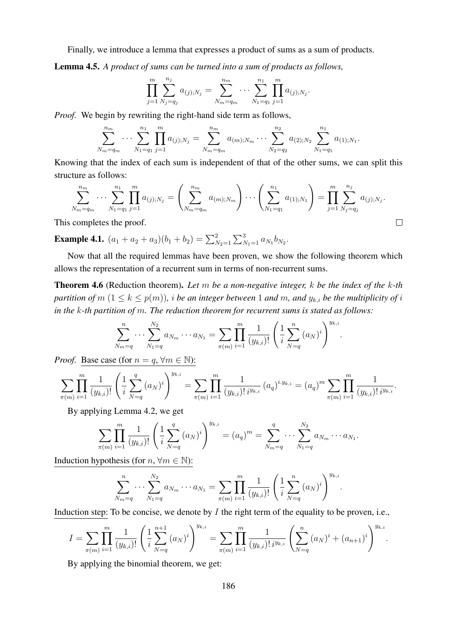Finally, we introduce a lemma that expresses a product of sums as a sum of products.

Lemma 4.5. *A product of sums can be turned into a sum of products as follows,*

$$
\prod_{j=1}^m \sum_{N_j=q_j}^{n_j} a_{(j);N_j} = \sum_{N_m=q_m}^{n_m} \cdots \sum_{N_1=q_1}^{n_1} \prod_{j=1}^m a_{(j);N_j}.
$$

*Proof.* We begin by rewriting the right-hand side term as follows,

$$
\sum_{N_m=q_m}^{n_m} \cdots \sum_{N_1=q_1}^{n_1} \prod_{j=1}^m a_{(j);N_j} = \sum_{N_m=q_m}^{n_m} a_{(m);N_m} \cdots \sum_{N_2=q_2}^{n_2} a_{(2);N_2} \sum_{N_1=q_1}^{n_1} a_{(1);N_1}.
$$

Knowing that the index of each sum is independent of that of the other sums, we can split this structure as follows:

$$
\sum_{N_m=q_m}^{n_m} \cdots \sum_{N_1=q_1}^{n_1} \prod_{j=1}^m a_{(j);N_j} = \left( \sum_{N_m=q_m}^{n_m} a_{(m);N_m} \right) \cdots \left( \sum_{N_1=q_1}^{n_1} a_{(1);N_1} \right) = \prod_{j=1}^m \sum_{N_j=q_j}^{n_j} a_{(j);N_j}.
$$
\ncompletes the proof.

This completes the proof.

**Example 4.1.**  $(a_1 + a_2 + a_3)(b_1 + b_2) = \sum_{N_2=1}^{2} \sum_{N_1=1}^{3} a_{N_1} b_{N_2}$ .

Now that all the required lemmas have been proven, we show the following theorem which allows the representation of a recurrent sum in terms of non-recurrent sums.

Theorem 4.6 (Reduction theorem). *Let* m *be a non-negative integer,* k *be the index of the* k*-th partition of*  $m$   $(1 \leq k \leq p(m))$ , *i be an integer between* 1 *and*  $m$ , *and*  $y_{k,i}$  *be the multiplicity of i in the* k*-th partition of* m*. The reduction theorem for recurrent sums is stated as follows:*

$$
\sum_{N_m=q}^{n} \cdots \sum_{N_1=q}^{N_2} a_{N_m} \cdots a_{N_1} = \sum_{\pi(m)} \prod_{i=1}^{m} \frac{1}{(y_{k,i})!} \left( \frac{1}{i} \sum_{N=q}^{n} (a_N)^i \right)^{y_{k,i}}.
$$

*Proof.* Base case (for  $n = q$ ,  $\forall m \in \mathbb{N}$ ):

$$
\sum_{\pi(m)} \prod_{i=1}^m \frac{1}{(y_{k,i})!} \left( \frac{1}{i} \sum_{N=q}^q (a_N)^i \right)^{y_{k,i}} = \sum_{\pi(m)} \prod_{i=1}^m \frac{1}{(y_{k,i})! i^{y_{k,i}}} (a_q)^{i \cdot y_{k,i}} = (a_q)^m \sum_{\pi(m)} \prod_{i=1}^m \frac{1}{(y_{k,i})! i^{y_{k,i}}}.
$$

By applying Lemma 4.2, we get

$$
\sum_{\pi(m)} \prod_{i=1}^m \frac{1}{(y_{k,i})!} \left( \frac{1}{i} \sum_{N=q}^q (a_N)^i \right)^{y_{k,i}} = (a_q)^m = \sum_{N_m=q}^q \cdots \sum_{N_1=q}^{N_2} a_{N_m} \cdots a_{N_1}.
$$

Induction hypothesis (for  $n, \forall m \in \mathbb{N}$ ):

$$
\sum_{N_m=q}^{n} \cdots \sum_{N_1=q}^{N_2} a_{N_m} \cdots a_{N_1} = \sum_{\pi(m)} \prod_{i=1}^{m} \frac{1}{(y_{k,i})!} \left( \frac{1}{i} \sum_{N=q}^{n} (a_N)^i \right)^{y_{k,i}}.
$$

Induction step: To be concise, we denote by  $I$  the right term of the equality to be proven, i.e.,

$$
I = \sum_{\pi(m)} \prod_{i=1}^m \frac{1}{(y_{k,i})!} \left( \frac{1}{i} \sum_{N=q}^{n+1} (a_N)^i \right)^{y_{k,i}} = \sum_{\pi(m)} \prod_{i=1}^m \frac{1}{(y_{k,i})! i^{y_{k,i}}} \left( \sum_{N=q}^n (a_N)^i + (a_{n+1})^i \right)^{y_{k,i}}.
$$

By applying the binomial theorem, we get: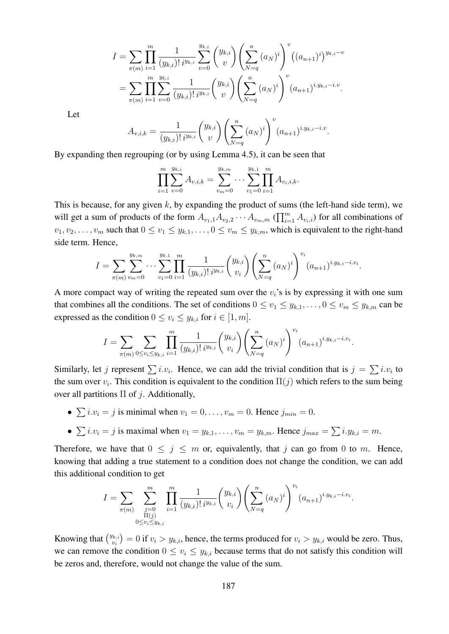$$
I = \sum_{\pi(m)} \prod_{i=1}^{m} \frac{1}{(y_{k,i})! i^{y_{k,i}}} \sum_{v=0}^{y_{k,i}} {y_{k,i} \choose v} \left( \sum_{N=q}^{n} (a_N)^i \right)^v ((a_{n+1})^i)^{y_{k,i}-v}
$$
  
= 
$$
\sum_{\pi(m)} \prod_{i=1}^{m} \sum_{v=0}^{y_{k,i}} \frac{1}{(y_{k,i})! i^{y_{k,i}}} {y_{k,i} \choose v} \left( \sum_{N=q}^{n} (a_N)^i \right)^v (a_{n+1})^{i \cdot y_{k,i}-i \cdot v}.
$$

Let

$$
A_{v,i,k} = \frac{1}{(y_{k,i})! \, i^{y_{k,i}}} \binom{y_{k,i}}{v} \left(\sum_{N=q}^n (a_N)^i\right)^v (a_{n+1})^{i \cdot y_{k,i} - i \cdot v}.
$$

By expanding then regrouping (or by using Lemma 4.5), it can be seen that

$$
\prod_{i=1}^{m} \sum_{v=0}^{y_{k,i}} A_{v,i,k} = \sum_{v_m=0}^{y_{k,m}} \cdots \sum_{v_1=0}^{y_{k,1}} \prod_{i=1}^{m} A_{v_i,i,k}.
$$

This is because, for any given  $k$ , by expanding the product of sums (the left-hand side term), we will get a sum of products of the form  $A_{v_1,1}A_{v_2,2}\cdots A_{v_m,m}$  ( $\prod_{i=1}^m A_{v_i,i}$ ) for all combinations of  $v_1, v_2, \ldots, v_m$  such that  $0 \le v_1 \le y_{k,1}, \ldots, 0 \le v_m \le y_{k,m}$ , which is equivalent to the right-hand side term. Hence,

$$
I = \sum_{\pi(m)} \sum_{v_m=0}^{y_{k,m}} \cdots \sum_{v_1=0}^{y_{k,1}} \prod_{i=1}^m \frac{1}{(y_{k,i})! \, i^{y_{k,i}}} {y_{k,i} \choose v_i} \left( \sum_{N=q}^n (a_N)^i \right)^{v_i} (a_{n+1})^{i \cdot y_{k,i} - i \cdot v_i}.
$$

A more compact way of writing the repeated sum over the  $v_i$ 's is by expressing it with one sum that combines all the conditions. The set of conditions  $0 \le v_1 \le y_{k,1}, \ldots, 0 \le v_m \le y_{k,m}$  can be expressed as the condition  $0 \le v_i \le y_{k,i}$  for  $i \in [1, m]$ .

$$
I = \sum_{\pi(m)} \sum_{0 \le v_i \le y_{k,i}} \prod_{i=1}^m \frac{1}{(y_{k,i})! \, i^{y_{k,i}}} {y_{k,i} \choose v_i} \left( \sum_{N=q}^n (a_N)^i \right)^{v_i} (a_{n+1})^{i \cdot y_{k,i} - i \cdot v_i}.
$$

Similarly, let j represent  $\sum i \nu_i$ . Hence, we can add the trivial condition that is  $j = \sum i \nu_i$  to the sum over  $v_i$ . This condition is equivalent to the condition  $\Pi(j)$  which refers to the sum being over all partitions  $\Pi$  of *j*. Additionally,

- $\sum i \cdot v_i = j$  is minimal when  $v_1 = 0, \ldots, v_m = 0$ . Hence  $j_{min} = 0$ .
- $\sum i \cdot v_i = j$  is maximal when  $v_1 = y_{k,1}, \ldots, v_m = y_{k,m}$ . Hence  $j_{max} = \sum i \cdot y_{k,i} = m$ .

Therefore, we have that  $0 \leq j \leq m$  or, equivalently, that j can go from 0 to m. Hence, knowing that adding a true statement to a condition does not change the condition, we can add this additional condition to get

$$
I = \sum_{\pi(m)} \sum_{\substack{j=0 \ n(1) \\ \Pi(j) \\ 0 \le v_i \le y_{k,i}}} \prod_{i=1}^m \frac{1}{(y_{k,i})! \, i^{y_{k,i}}} {y_{k,i} \choose v_i} \left( \sum_{N=q}^n (a_N)^i \right)^{v_i} (a_{n+1})^{i \cdot y_{k,i} - i \cdot v_i}.
$$

Knowing that  $\binom{y_{k,i}}{y_i}$  $v_{i}^{(k,i)} = 0$  if  $v_i > y_{k,i}$ , hence, the terms produced for  $v_i > y_{k,i}$  would be zero. Thus, we can remove the condition  $0 \le v_i \le y_{k,i}$  because terms that do not satisfy this condition will be zeros and, therefore, would not change the value of the sum.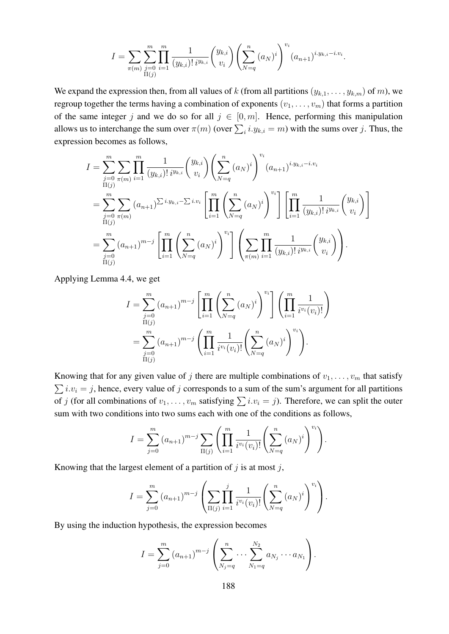$$
I = \sum_{\pi(m)} \sum_{\substack{j=0 \ n(i)}}^m \prod_{i=1}^m \frac{1}{(y_{k,i})! \, i^{y_{k,i}}} {y_{k,i} \choose v_i} \left( \sum_{N=q}^n (a_N)^i \right)^{v_i} (a_{n+1})^{i \cdot y_{k,i} - i \cdot v_i}.
$$

We expand the expression then, from all values of k (from all partitions  $(y_{k,1},...,y_{k,m})$  of m), we regroup together the terms having a combination of exponents  $(v_1, \ldots, v_m)$  that forms a partition of the same integer j and we do so for all  $j \in [0, m]$ . Hence, performing this manipulation allows us to interchange the sum over  $\pi(m)$  (over  $\sum_i i.y_{k,i} = m$ ) with the sums over j. Thus, the expression becomes as follows,

$$
I = \sum_{\substack{j=0 \ n(ij)}}^m \sum_{\pi(m)} \prod_{i=1}^m \frac{1}{(y_{k,i})! i^{y_{k,i}}} {y_{k,i} \choose v_i} \left( \sum_{N=q}^n (a_N)^i \right)^{v_i} (a_{n+1})^{i \cdot y_{k,i} - i \cdot v_i}
$$
  
\n
$$
= \sum_{\substack{j=0 \ n(ij)}}^m \sum_{\pi(m)} (a_{n+1})^{\sum i \cdot y_{k,i} - \sum i \cdot v_i} \left[ \prod_{i=1}^m \left( \sum_{N=q}^n (a_N)^i \right)^{v_i} \right] \left[ \prod_{i=1}^m \frac{1}{(y_{k,i})! i^{y_{k,i}}} {y_{k,i} \choose v_i} \right]
$$
  
\n
$$
= \sum_{\substack{j=0 \ j=0}}^m (a_{n+1})^{m-j} \left[ \prod_{i=1}^m \left( \sum_{N=q}^n (a_N)^i \right)^{v_i} \right] \left( \sum_{\pi(m)} \prod_{i=1}^m \frac{1}{(y_{k,i})! i^{y_{k,i}}} {y_{k,i} \choose v_i} \right).
$$

Applying Lemma 4.4, we get

$$
I = \sum_{\substack{j=0 \ n(j)}}^m (a_{n+1})^{m-j} \left[ \prod_{i=1}^m \left( \sum_{N=q}^n (a_N)^i \right)^{v_i} \right] \left( \prod_{i=1}^m \frac{1}{i^{v_i}(v_i)!} \right)
$$
  
= 
$$
\sum_{\substack{j=0 \ n(j)}}^m (a_{n+1})^{m-j} \left( \prod_{i=1}^m \frac{1}{i^{v_i}(v_i)!} \left( \sum_{N=q}^n (a_N)^i \right)^{v_i} \right).
$$

Knowing that for any given value of j there are multiple combinations of  $v_1, \ldots, v_m$  that satisfy  $\sum i.v_i = j$ , hence, every value of j corresponds to a sum of the sum's argument for all partitions of j (for all combinations of  $v_1, \ldots, v_m$  satisfying  $\sum i \cdot v_i = j$ ). Therefore, we can split the outer sum with two conditions into two sums each with one of the conditions as follows,

$$
I = \sum_{j=0}^{m} (a_{n+1})^{m-j} \sum_{\Pi(j)} \left( \prod_{i=1}^{m} \frac{1}{i^{v_i}(v_i)!} \left( \sum_{N=q}^{n} (a_N)^i \right)^{v_i} \right).
$$

Knowing that the largest element of a partition of  $j$  is at most  $j$ ,

$$
I = \sum_{j=0}^{m} (a_{n+1})^{m-j} \left( \sum_{\Pi(j)} \prod_{i=1}^{j} \frac{1}{i^{v_i}(v_i)!} \left( \sum_{N=q}^{n} (a_N)^i \right)^{v_i} \right).
$$

By using the induction hypothesis, the expression becomes

$$
I = \sum_{j=0}^{m} (a_{n+1})^{m-j} \left( \sum_{N_j=q}^{n} \cdots \sum_{N_1=q}^{N_2} a_{N_j} \cdots a_{N_1} \right).
$$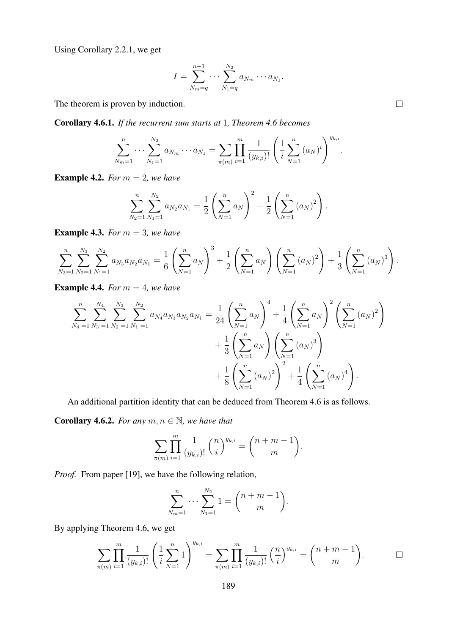Using Corollary 2.2.1, we get

$$
I = \sum_{N_m=q}^{n+1} \cdots \sum_{N_1=q}^{N_2} a_{N_m} \cdots a_{N_1}.
$$

The theorem is proven by induction.

Corollary 4.6.1. *If the recurrent sum starts at* 1*, Theorem 4.6 becomes*

$$
\sum_{N_m=1}^n \cdots \sum_{N_1=1}^{N_2} a_{N_m} \cdots a_{N_1} = \sum_{\pi(m)} \prod_{i=1}^m \frac{1}{(y_{k,i})!} \left( \frac{1}{i} \sum_{N=1}^n (a_N)^i \right)^{y_{k,i}}.
$$

**Example 4.2.** *For*  $m = 2$ *, we have* 

$$
\sum_{N_2=1}^n \sum_{N_1=1}^{N_2} a_{N_2} a_{N_1} = \frac{1}{2} \left( \sum_{N=1}^n a_N \right)^2 + \frac{1}{2} \left( \sum_{N=1}^n (a_N)^2 \right).
$$

**Example 4.3.** *For*  $m = 3$ *, we have* 

$$
\sum_{N_3=1}^n \sum_{N_2=1}^{N_3} \sum_{N_1=1}^{N_2} a_{N_3} a_{N_2} a_{N_1} = \frac{1}{6} \left( \sum_{N=1}^n a_N \right)^3 + \frac{1}{2} \left( \sum_{N=1}^n a_N \right) \left( \sum_{N=1}^n (a_N)^2 \right) + \frac{1}{3} \left( \sum_{N=1}^n (a_N)^3 \right).
$$

**Example 4.4.** *For*  $m = 4$ *, we have* 

$$
\sum_{N_4=1}^n \sum_{N_3=1}^{N_4} \sum_{N_2=1}^{N_3} \sum_{N_1=1}^{N_2} a_{N_4} a_{N_3} a_{N_2} a_{N_1} = \frac{1}{24} \left( \sum_{N=1}^n a_N \right)^4 + \frac{1}{4} \left( \sum_{N=1}^n a_N \right)^2 \left( \sum_{N=1}^n (a_N)^2 \right) + \frac{1}{3} \left( \sum_{N=1}^n a_N \right) \left( \sum_{N=1}^n (a_N)^3 \right) + \frac{1}{8} \left( \sum_{N=1}^n (a_N)^2 \right)^2 + \frac{1}{4} \left( \sum_{N=1}^n (a_N)^4 \right).
$$

An additional partition identity that can be deduced from Theorem 4.6 is as follows.

**Corollary 4.6.2.** *For any*  $m, n \in \mathbb{N}$ *, we have that* 

$$
\sum_{\pi(m)}\prod_{i=1}^m\frac{1}{(y_{k,i})!}\left(\frac{n}{i}\right)^{y_{k,i}}=\binom{n+m-1}{m}.
$$

*Proof.* From paper [19], we have the following relation,

$$
\sum_{N_m=1}^n \cdots \sum_{N_1=1}^{N_2} 1 = \binom{n+m-1}{m}.
$$

By applying Theorem 4.6, we get

$$
\sum_{\pi(m)} \prod_{i=1}^m \frac{1}{(y_{k,i})!} \left( \frac{1}{i} \sum_{N=1}^n 1 \right)^{y_{k,i}} = \sum_{\pi(m)} \prod_{i=1}^m \frac{1}{(y_{k,i})!} \left( \frac{n}{i} \right)^{y_{k,i}} = \binom{n+m-1}{m}.
$$

 $\Box$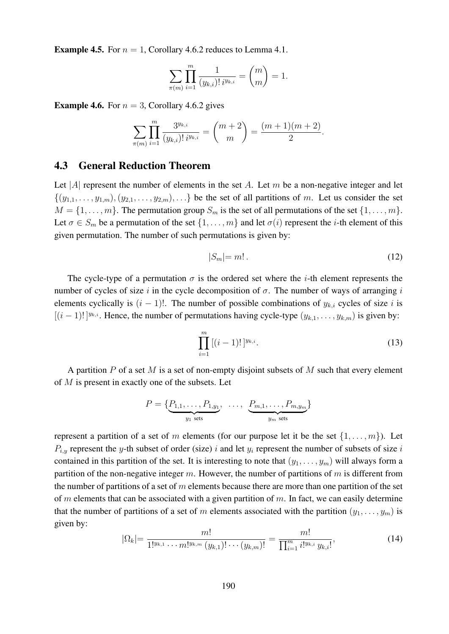**Example 4.5.** For  $n = 1$ , Corollary 4.6.2 reduces to Lemma 4.1.

$$
\sum_{\pi(m)} \prod_{i=1}^m \frac{1}{(y_{k,i})! \, i^{y_{k,i}}} = \binom{m}{m} = 1.
$$

**Example 4.6.** For  $n = 3$ , Corollary 4.6.2 gives

$$
\sum_{\pi(m)} \prod_{i=1}^m \frac{3^{y_{k,i}}}{(y_{k,i})! \, i^{y_{k,i}}} = \binom{m+2}{m} = \frac{(m+1)(m+2)}{2}.
$$

#### 4.3 General Reduction Theorem

Let |A| represent the number of elements in the set A. Let  $m$  be a non-negative integer and let  $\{(y_{1,1},\ldots,y_{1,m}), (y_{2,1},\ldots,y_{2,m}), \ldots\}$  be the set of all partitions of m. Let us consider the set  $M = \{1, \ldots, m\}$ . The permutation group  $S_m$  is the set of all permutations of the set  $\{1, \ldots, m\}$ . Let  $\sigma \in S_m$  be a permutation of the set  $\{1, \ldots, m\}$  and let  $\sigma(i)$  represent the *i*-th element of this given permutation. The number of such permutations is given by:

$$
|S_m| = m! \tag{12}
$$

The cycle-type of a permutation  $\sigma$  is the ordered set where the *i*-th element represents the number of cycles of size i in the cycle decomposition of  $\sigma$ . The number of ways of arranging i elements cyclically is  $(i - 1)!$ . The number of possible combinations of  $y_{k,i}$  cycles of size i is  $[(i-1)!]^{y_{k,i}}$ . Hence, the number of permutations having cycle-type  $(y_{k,1},...,y_{k,m})$  is given by:

$$
\prod_{i=1}^{m} [(i-1)!]^{y_{k,i}}.
$$
\n(13)

A partition  $P$  of a set  $M$  is a set of non-empty disjoint subsets of  $M$  such that every element of  $M$  is present in exactly one of the subsets. Let

$$
P = \{ \underbrace{P_{1,1}, \ldots, P_{1,y_1}}_{y_1 \text{ sets}}, \ldots, \underbrace{P_{m,1}, \ldots, P_{m,y_m}}_{y_m \text{ sets}} \}
$$

represent a partition of a set of m elements (for our purpose let it be the set  $\{1, \ldots, m\}$ ). Let  $P_{i,y}$  represent the y-th subset of order (size) i and let  $y_i$  represent the number of subsets of size i contained in this partition of the set. It is interesting to note that  $(y_1, \ldots, y_m)$  will always form a partition of the non-negative integer m. However, the number of partitions of  $m$  is different from the number of partitions of a set of  $m$  elements because there are more than one partition of the set of m elements that can be associated with a given partition of  $m$ . In fact, we can easily determine that the number of partitions of a set of m elements associated with the partition  $(y_1, \ldots, y_m)$  is given by:

$$
|\Omega_k| = \frac{m!}{1!^{y_{k,1}} \cdots m!^{y_{k,m}} (y_{k,1})! \cdots (y_{k,m})!} = \frac{m!}{\prod_{i=1}^m i!^{y_{k,i}} y_{k,i}!},
$$
\n(14)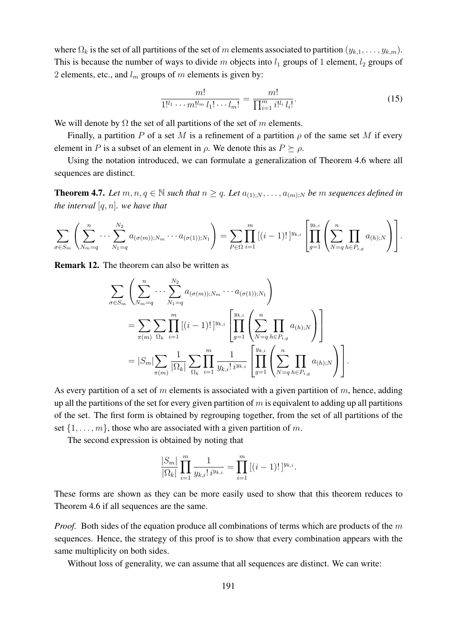where  $\Omega_k$  is the set of all partitions of the set of m elements associated to partition  $(y_{k,1}, \ldots, y_{k,m})$ . This is because the number of ways to divide m objects into  $l_1$  groups of 1 element,  $l_2$  groups of 2 elements, etc., and  $l_m$  groups of m elements is given by:

$$
\frac{m!}{1!^{l_1}\cdots m!^{l_m}l_1!\cdots l_m!} = \frac{m!}{\prod_{i=1}^m i!^{l_i}l_i!}.
$$
\n(15)

We will denote by  $\Omega$  the set of all partitions of the set of m elements.

Finally, a partition P of a set M is a refinement of a partition  $\rho$  of the same set M if every element in P is a subset of an element in  $\rho$ . We denote this as  $P \succeq \rho$ .

Using the notation introduced, we can formulate a generalization of Theorem 4.6 where all sequences are distinct.

**Theorem 4.7.** Let  $m, n, q \in \mathbb{N}$  such that  $n \geq q$ . Let  $a_{(1),N}, \ldots, a_{(m),N}$  be m sequences defined in *the interval* [q, n]*. we have that*

$$
\sum_{\sigma \in S_m} \left( \sum_{N_m=q}^n \cdots \sum_{N_1=q}^{N_2} a_{(\sigma(m));N_m} \cdots a_{(\sigma(1));N_1} \right) = \sum_{P \in \Omega} \prod_{i=1}^m [(i-1)! \,]^{y_{k,i}} \left[ \prod_{g=1}^{y_{k,i}} \left( \sum_{N=q}^n \prod_{h \in P_{i,g}} a_{(h);N} \right) \right].
$$

Remark 12. The theorem can also be written as

$$
\sum_{\sigma \in S_m} \left( \sum_{N_m=q}^{n} \cdots \sum_{N_1=q}^{N_2} a_{(\sigma(m));N_m} \cdots a_{(\sigma(1));N_1} \right)
$$
\n
$$
= \sum_{\pi(m)} \sum_{\Omega_k} \prod_{i=1}^m [(i-1)!]^{y_{k,i}} \left[ \prod_{g=1}^{y_{k,i}} \left( \sum_{N=q}^{n} \prod_{h \in P_{i,g}} a_{(h);N} \right) \right]
$$
\n
$$
= |S_m| \sum_{\pi(m)} \frac{1}{|\Omega_k|} \sum_{\Omega_k} \prod_{i=1}^m \frac{1}{y_{k,i}! i^{y_{k,i}}} \left[ \prod_{g=1}^{y_{k,i}} \left( \sum_{N=q}^{n} \prod_{h \in P_{i,g}} a_{(h);N} \right) \right].
$$

As every partition of a set of m elements is associated with a given partition of  $m$ , hence, adding up all the partitions of the set for every given partition of  $m$  is equivalent to adding up all partitions of the set. The first form is obtained by regrouping together, from the set of all partitions of the set  $\{1, \ldots, m\}$ , those who are associated with a given partition of m.

The second expression is obtained by noting that

$$
\frac{|S_m|}{|\Omega_k|} \prod_{i=1}^m \frac{1}{y_{k,i}! \, i^{y_{k,i}}} = \prod_{i=1}^m \left[ (i-1)! \right]^{y_{k,i}}.
$$

These forms are shown as they can be more easily used to show that this theorem reduces to Theorem 4.6 if all sequences are the same.

*Proof.* Both sides of the equation produce all combinations of terms which are products of the m sequences. Hence, the strategy of this proof is to show that every combination appears with the same multiplicity on both sides.

Without loss of generality, we can assume that all sequences are distinct. We can write: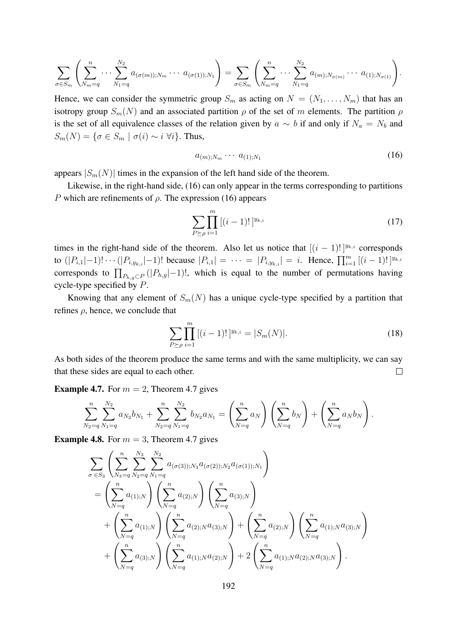$$
\sum_{\sigma \in S_m} \left( \sum_{N_m=q}^n \cdots \sum_{N_1=q}^{N_2} a_{(\sigma(m));N_m} \cdots a_{(\sigma(1));N_1} \right) = \sum_{\sigma \in S_m} \left( \sum_{N_m=q}^n \cdots \sum_{N_1=q}^{N_2} a_{(m);N_{\sigma(m)}} \cdots a_{(1);N_{\sigma(1)}} \right).
$$

Hence, we can consider the symmetric group  $S_m$  as acting on  $N = (N_1, \ldots, N_m)$  that has an isotropy group  $S_m(N)$  and an associated partition  $\rho$  of the set of m elements. The partition  $\rho$ is the set of all equivalence classes of the relation given by  $a \sim b$  if and only if  $N_a = N_b$  and  $S_m(N) = \{ \sigma \in S_m \mid \sigma(i) \sim i \; \forall i \}.$  Thus,

$$
a_{(m);N_m} \cdots a_{(1);N_1} \tag{16}
$$

appears  $|S_m(N)|$  times in the expansion of the left hand side of the theorem.

Likewise, in the right-hand side, (16) can only appear in the terms corresponding to partitions P which are refinements of  $\rho$ . The expression (16) appears

$$
\sum_{P \succeq \rho} \prod_{i=1}^{m} [(i-1)!]^{y_{k,i}} \tag{17}
$$

times in the right-hand side of the theorem. Also let us notice that  $[(i - 1)!]^{y_{k,i}}$  corresponds to  $(|P_{i,1}|-1)! \cdots (|P_{i,y_{k,i}}|-1)!$  because  $|P_{i,1}| = \cdots = |P_{i,y_{k,i}}| = i$ . Hence,  $\prod_{i=1}^{m} [(i-1)!]^{y_{k,i}}$ corresponds to  $\prod_{P_{h,g}\subset P}(|P_{h,g}|-1)$ !, which is equal to the number of permutations having cycle-type specified by P.

Knowing that any element of  $S_m(N)$  has a unique cycle-type specified by a partition that refines  $\rho$ , hence, we conclude that

$$
\sum_{P \succeq \rho} \prod_{i=1}^{m} \left[ (i-1)! \right]^{y_{k,i}} = |S_m(N)|. \tag{18}
$$

As both sides of the theorem produce the same terms and with the same multiplicity, we can say that these sides are equal to each other.  $\Box$ 

**Example 4.7.** For  $m = 2$ , Theorem 4.7 gives

$$
\sum_{N_2=q}^{n} \sum_{N_1=q}^{N_2} a_{N_2} b_{N_1} + \sum_{N_2=q}^{n} \sum_{N_1=q}^{N_2} b_{N_2} a_{N_1} = \left(\sum_{N=q}^{n} a_N\right) \left(\sum_{N=q}^{n} b_N\right) + \left(\sum_{N=q}^{n} a_N b_N\right).
$$

**Example 4.8.** For  $m = 3$ , Theorem 4.7 gives

$$
\sum_{\sigma \in S_3} \left( \sum_{N_3=q}^{n} \sum_{N_2=q}^{N_3} \sum_{N_1=q}^{N_2} a_{(\sigma(3));N_3} a_{(\sigma(2));N_2} a_{(\sigma(1));N_1} \right) \n= \left( \sum_{N=q}^{n} a_{(1);N} \right) \left( \sum_{N=q}^{n} a_{(2);N} \right) \left( \sum_{N=q}^{n} a_{(3);N} \right) \n+ \left( \sum_{N=q}^{n} a_{(1);N} \right) \left( \sum_{N=q}^{n} a_{(2);N} a_{(3);N} \right) + \left( \sum_{N=q}^{n} a_{(2);N} \right) \left( \sum_{N=q}^{n} a_{(1);N} a_{(3);N} \right) \n+ \left( \sum_{N=q}^{n} a_{(3);N} \right) \left( \sum_{N=q}^{n} a_{(1);N} a_{(2);N} \right) + 2 \left( \sum_{N=q}^{n} a_{(1);N} a_{(2);N} a_{(3);N} \right).
$$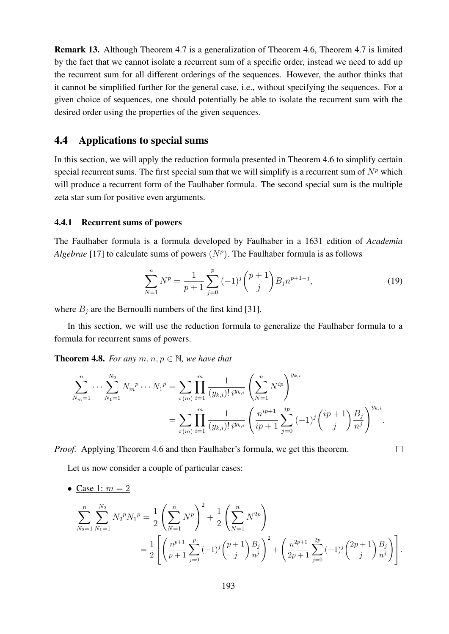Remark 13. Although Theorem 4.7 is a generalization of Theorem 4.6, Theorem 4.7 is limited by the fact that we cannot isolate a recurrent sum of a specific order, instead we need to add up the recurrent sum for all different orderings of the sequences. However, the author thinks that it cannot be simplified further for the general case, i.e., without specifying the sequences. For a given choice of sequences, one should potentially be able to isolate the recurrent sum with the desired order using the properties of the given sequences.

### 4.4 Applications to special sums

In this section, we will apply the reduction formula presented in Theorem 4.6 to simplify certain special recurrent sums. The first special sum that we will simplify is a recurrent sum of  $N<sup>p</sup>$  which will produce a recurrent form of the Faulhaber formula. The second special sum is the multiple zeta star sum for positive even arguments.

#### 4.4.1 Recurrent sums of powers

The Faulhaber formula is a formula developed by Faulhaber in a 1631 edition of *Academia Algebrae* [17] to calculate sums of powers  $(N<sup>p</sup>)$ . The Faulhaber formula is as follows

$$
\sum_{N=1}^{n} N^{p} = \frac{1}{p+1} \sum_{j=0}^{p} (-1)^{j} {p+1 \choose j} B_{j} n^{p+1-j}, \qquad (19)
$$

 $\Box$ 

where  $B_i$  are the Bernoulli numbers of the first kind [31].

In this section, we will use the reduction formula to generalize the Faulhaber formula to a formula for recurrent sums of powers.

**Theorem 4.8.** For any  $m, n, p \in \mathbb{N}$ , we have that

$$
\sum_{N_m=1}^n \cdots \sum_{N_1=1}^{N_2} N_m^p \cdots N_1^p = \sum_{\pi(m)} \prod_{i=1}^m \frac{1}{(y_{k,i})! i^{y_{k,i}}} \left(\sum_{N=1}^n N^{ip}\right)^{y_{k,i}} \\
= \sum_{\pi(m)} \prod_{i=1}^m \frac{1}{(y_{k,i})! i^{y_{k,i}}} \left(\frac{n^{ip+1}}{ip+1} \sum_{j=0}^{ip} (-1)^j {ip+1 \choose j} \frac{B_j}{n^j}\right)^{y_{k,i}}.
$$

*Proof.* Applying Theorem 4.6 and then Faulhaber's formula, we get this theorem.

Let us now consider a couple of particular cases:

• Case 1:  $m = 2$ 

$$
\sum_{N_2=1}^n \sum_{N_1=1}^{N_2} N_2^p N_1^p = \frac{1}{2} \left( \sum_{N=1}^n N^p \right)^2 + \frac{1}{2} \left( \sum_{N=1}^n N^{2p} \right)
$$
  
= 
$$
\frac{1}{2} \left[ \left( \frac{n^{p+1}}{p+1} \sum_{j=0}^p (-1)^j {p+1 \choose j} \frac{B_j}{n^j} \right)^2 + \left( \frac{n^{2p+1}}{2p+1} \sum_{j=0}^{2p} (-1)^j {2p+1 \choose j} \frac{B_j}{n^j} \right) \right].
$$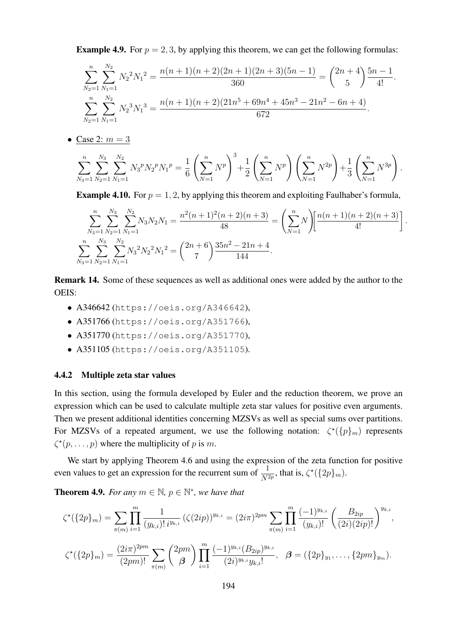**Example 4.9.** For  $p = 2, 3$ , by applying this theorem, we can get the following formulas:

$$
\sum_{N_2=1}^n \sum_{N_1=1}^{N_2} N_2^2 N_1^2 = \frac{n(n+1)(n+2)(2n+1)(2n+3)(5n-1)}{360} = {2n+4 \choose 5} \frac{5n-1}{4!}.
$$
  

$$
\sum_{N_2=1}^n \sum_{N_1=1}^{N_2} N_2^3 N_1^3 = \frac{n(n+1)(n+2)(21n^5 + 69n^4 + 45n^3 - 21n^2 - 6n + 4)}{672}.
$$

• Case 2:  $m = 3$ 

$$
\sum_{N_3=1}^n \sum_{N_2=1}^{N_3} \sum_{N_1=1}^{N_2} N_3^p N_2^p N_1^p = \frac{1}{6} \left( \sum_{N=1}^n N^p \right)^3 + \frac{1}{2} \left( \sum_{N=1}^n N^p \right) \left( \sum_{N=1}^n N^{2p} \right) + \frac{1}{3} \left( \sum_{N=1}^n N^{3p} \right).
$$

**Example 4.10.** For  $p = 1, 2$ , by applying this theorem and exploiting Faulhaber's formula,

$$
\sum_{N_3=1}^n \sum_{N_2=1}^{N_3} \sum_{N_1=1}^{N_2} N_3 N_2 N_1 = \frac{n^2 (n+1)^2 (n+2)(n+3)}{48} = \left(\sum_{N=1}^n N\right) \left[\frac{n(n+1)(n+2)(n+3)}{4!}\right].
$$
  

$$
\sum_{N_3=1}^n \sum_{N_2=1}^{N_3} \sum_{N_1=1}^{N_2} N_3^2 N_2^2 N_1^2 = {2n+6 \choose 7} \frac{35n^2 - 21n + 4}{144}.
$$

Remark 14. Some of these sequences as well as additional ones were added by the author to the OEIS:

- A346642 (https://oeis.org/A346642),
- A351766 (https://oeis.org/A351766),
- A351770 (https://oeis.org/A351770),
- A351105 (https://oeis.org/A351105).

#### 4.4.2 Multiple zeta star values

In this section, using the formula developed by Euler and the reduction theorem, we prove an expression which can be used to calculate multiple zeta star values for positive even arguments. Then we present additional identities concerning MZSVs as well as special sums over partitions. For MZSVs of a repeated argument, we use the following notation:  $\zeta^*(\{p\}_m)$  represents  $\zeta^*(p, \ldots, p)$  where the multiplicity of p is m.

We start by applying Theorem 4.6 and using the expression of the zeta function for positive even values to get an expression for the recurrent sum of  $\frac{1}{N^{2p}}$ , that is,  $\zeta^*(\{2p\}_m)$ .

**Theorem 4.9.** For any  $m \in \mathbb{N}$ ,  $p \in \mathbb{N}^*$ , we have that

$$
\zeta^{\star}(\{2p\}_m) = \sum_{\pi(m)} \prod_{i=1}^m \frac{1}{(y_{k,i})! \, i^{y_{k,i}}} \left(\zeta(2ip)\right)^{y_{k,i}} = (2i\pi)^{2pm} \sum_{\pi(m)} \prod_{i=1}^m \frac{(-1)^{y_{k,i}}}{(y_{k,i})!} \left(\frac{B_{2ip}}{(2i)(2ip)!}\right)^{y_{k,i}},
$$
  

$$
\zeta^{\star}(\{2p\}_m) = \frac{(2i\pi)^{2pm}}{(2pm)!} \sum_{\pi(m)} \binom{2pm}{\beta} \prod_{i=1}^m \frac{(-1)^{y_{k,i}}(B_{2ip})^{y_{k,i}}}{(2i)^{y_{k,i}}y_{k,i}!}, \quad \beta = (\{2p\}_{y_1}, \dots, \{2pm\}_{y_m}).
$$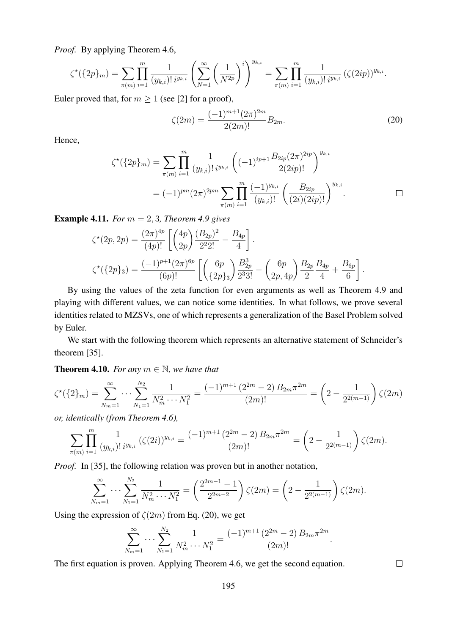*Proof.* By applying Theorem 4.6,

$$
\zeta^{\star}(\{2p\}_m) = \sum_{\pi(m)} \prod_{i=1}^m \frac{1}{(y_{k,i})! \, i^{y_{k,i}}} \left( \sum_{N=1}^{\infty} \left( \frac{1}{N^{2p}} \right)^i \right)^{y_{k,i}} = \sum_{\pi(m)} \prod_{i=1}^m \frac{1}{(y_{k,i})! \, i^{y_{k,i}}} \left( \zeta(2ip) \right)^{y_{k,i}}.
$$

Euler proved that, for  $m \geq 1$  (see [2] for a proof),

$$
\zeta(2m) = \frac{(-1)^{m+1}(2\pi)^{2m}}{2(2m)!} B_{2m}.
$$
\n(20)

Hence,

$$
\zeta^{\star}(\{2p\}_m) = \sum_{\pi(m)} \prod_{i=1}^m \frac{1}{(y_{k,i})! i^{y_{k,i}}} \left( (-1)^{ip+1} \frac{B_{2ip}(2\pi)^{2ip}}{2(2ip)!} \right)^{y_{k,i}} \n= (-1)^{pm} (2\pi)^{2pm} \sum_{\pi(m)} \prod_{i=1}^m \frac{(-1)^{y_{k,i}}}{(y_{k,i})!} \left( \frac{B_{2ip}}{(2i)(2ip)!} \right)^{y_{k,i}}.
$$

Example 4.11. *For* m = 2, 3*, Theorem 4.9 gives*

$$
\zeta^*(2p, 2p) = \frac{(2\pi)^{4p}}{(4p)!} \left[ \binom{4p}{2p} \frac{(B_{2p})^2}{2^2 2!} - \frac{B_{4p}}{4} \right].
$$
  

$$
\zeta^*(\{2p\}_3) = \frac{(-1)^{p+1}(2\pi)^{6p}}{(6p)!} \left[ \binom{6p}{\{2p\}_3} \frac{B_{2p}^3}{2^3 3!} - \binom{6p}{2p, 4p} \frac{B_{2p}}{2} \frac{B_{4p}}{4} + \frac{B_{6p}}{6} \right].
$$

By using the values of the zeta function for even arguments as well as Theorem 4.9 and playing with different values, we can notice some identities. In what follows, we prove several identities related to MZSVs, one of which represents a generalization of the Basel Problem solved by Euler.

We start with the following theorem which represents an alternative statement of Schneider's theorem [35].

**Theorem 4.10.** *For any*  $m \in \mathbb{N}$ *, we have that* 

$$
\zeta^{\star}(\{2\}_m) = \sum_{N_m=1}^{\infty} \cdots \sum_{N_1=1}^{N_2} \frac{1}{N_m^2 \cdots N_1^2} = \frac{(-1)^{m+1} (2^{2m} - 2) B_{2m} \pi^{2m}}{(2m)!} = \left(2 - \frac{1}{2^{2(m-1)}}\right) \zeta(2m)
$$

*or, identically (from Theorem 4.6),*

$$
\sum_{\pi(m)} \prod_{i=1}^m \frac{1}{(y_{k,i})! \, i^{y_{k,i}}} \left( \zeta(2i) \right)^{y_{k,i}} = \frac{(-1)^{m+1} \left( 2^{2m} - 2 \right) B_{2m} \pi^{2m}}{(2m)!} = \left( 2 - \frac{1}{2^{2(m-1)}} \right) \zeta(2m).
$$

*Proof.* In [35], the following relation was proven but in another notation,

$$
\sum_{N_m=1}^{\infty} \cdots \sum_{N_1=1}^{N_2} \frac{1}{N_m^2 \cdots N_1^2} = \left(\frac{2^{2m-1}-1}{2^{2m-2}}\right) \zeta(2m) = \left(2 - \frac{1}{2^{2(m-1)}}\right) \zeta(2m).
$$

Using the expression of  $\zeta(2m)$  from Eq. (20), we get

$$
\sum_{N_m=1}^{\infty} \cdots \sum_{N_1=1}^{N_2} \frac{1}{N_m^2 \cdots N_1^2} = \frac{(-1)^{m+1} (2^{2m} - 2) B_{2m} \pi^{2m}}{(2m)!}.
$$

The first equation is proven. Applying Theorem 4.6, we get the second equation.

 $\Box$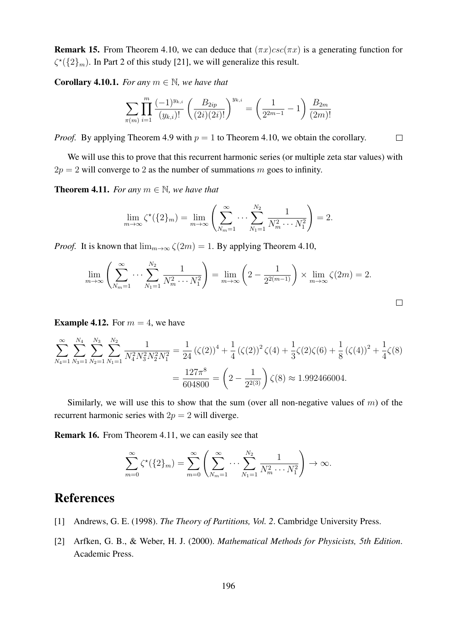**Remark 15.** From Theorem 4.10, we can deduce that  $(\pi x)csc(\pi x)$  is a generating function for  $\zeta^*(\{2\}_m)$ . In Part 2 of this study [21], we will generalize this result.

**Corollary 4.10.1.** *For any*  $m \in \mathbb{N}$ *, we have that* 

$$
\sum_{\pi(m)} \prod_{i=1}^m \frac{(-1)^{y_{k,i}}}{(y_{k,i})!} \left( \frac{B_{2ip}}{(2i)(2i)!} \right)^{y_{k,i}} = \left( \frac{1}{2^{2m-1}} - 1 \right) \frac{B_{2m}}{(2m)!}
$$

*Proof.* By applying Theorem 4.9 with  $p = 1$  to Theorem 4.10, we obtain the corollary.  $\Box$ 

We will use this to prove that this recurrent harmonic series (or multiple zeta star values) with  $2p = 2$  will converge to 2 as the number of summations m goes to infinity.

**Theorem 4.11.** *For any*  $m \in \mathbb{N}$ *, we have that* 

$$
\lim_{m \to \infty} \zeta^{\star}(\{2\}_{m}) = \lim_{m \to \infty} \left( \sum_{N_{m}=1}^{\infty} \cdots \sum_{N_{1}=1}^{N_{2}} \frac{1}{N_{m}^{2} \cdots N_{1}^{2}} \right) = 2.
$$

*Proof.* It is known that  $\lim_{m\to\infty} \zeta(2m) = 1$ . By applying Theorem 4.10,

$$
\lim_{m \to \infty} \left( \sum_{N_m=1}^{\infty} \cdots \sum_{N_1=1}^{N_2} \frac{1}{N_m^2 \cdots N_1^2} \right) = \lim_{m \to \infty} \left( 2 - \frac{1}{2^{2(m-1)}} \right) \times \lim_{m \to \infty} \zeta(2m) = 2.
$$

**Example 4.12.** For  $m = 4$ , we have

$$
\sum_{N_4=1}^{\infty} \sum_{N_3=1}^{N_4} \sum_{N_2=1}^{N_3} \sum_{N_1=1}^{N_2} \frac{1}{N_4^2 N_3^2 N_2^2 N_1^2} = \frac{1}{24} \left( \zeta(2) \right)^4 + \frac{1}{4} \left( \zeta(2) \right)^2 \zeta(4) + \frac{1}{3} \zeta(2) \zeta(6) + \frac{1}{8} \left( \zeta(4) \right)^2 + \frac{1}{4} \zeta(8)
$$

$$
= \frac{127\pi^8}{604800} = \left( 2 - \frac{1}{2^{2(3)}} \right) \zeta(8) \approx 1.992466004.
$$

Similarly, we will use this to show that the sum (over all non-negative values of  $m$ ) of the recurrent harmonic series with  $2p = 2$  will diverge.

Remark 16. From Theorem 4.11, we can easily see that

$$
\sum_{m=0}^{\infty} \zeta^{\star}(\{2\}_m) = \sum_{m=0}^{\infty} \left( \sum_{N_m=1}^{\infty} \cdots \sum_{N_1=1}^{N_2} \frac{1}{N_m^2 \cdots N_1^2} \right) \to \infty.
$$

# References

- [1] Andrews, G. E. (1998). *The Theory of Partitions, Vol. 2*. Cambridge University Press.
- [2] Arfken, G. B., & Weber, H. J. (2000). *Mathematical Methods for Physicists, 5th Edition*. Academic Press.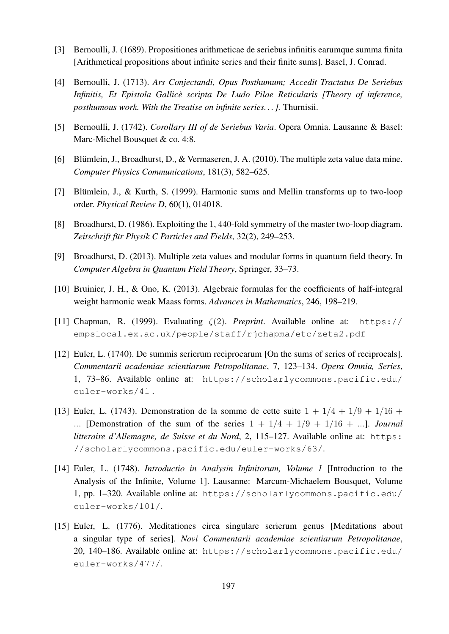- [3] Bernoulli, J. (1689). Propositiones arithmeticae de seriebus infinitis earumque summa finita [Arithmetical propositions about infinite series and their finite sums]. Basel, J. Conrad.
- [4] Bernoulli, J. (1713). *Ars Conjectandi, Opus Posthumum; Accedit Tractatus De Seriebus Infinitis, Et Epistola Gallice scripta De Ludo Pilae Reticularis [Theory of inference, ` posthumous work. With the Treatise on infinite series. . . ].* Thurnisii.
- [5] Bernoulli, J. (1742). *Corollary III of de Seriebus Varia*. Opera Omnia. Lausanne & Basel: Marc-Michel Bousquet & co. 4:8.
- [6] Blümlein, J., Broadhurst, D., & Vermaseren, J. A. (2010). The multiple zeta value data mine. *Computer Physics Communications*, 181(3), 582–625.
- [7] Blümlein, J., & Kurth, S. (1999). Harmonic sums and Mellin transforms up to two-loop order. *Physical Review D*, 60(1), 014018.
- [8] Broadhurst, D. (1986). Exploiting the 1, 440-fold symmetry of the master two-loop diagram. Zeitschrift für Physik C Particles and Fields, 32(2), 249–253.
- [9] Broadhurst, D. (2013). Multiple zeta values and modular forms in quantum field theory. In *Computer Algebra in Quantum Field Theory*, Springer, 33–73.
- [10] Bruinier, J. H., & Ono, K. (2013). Algebraic formulas for the coefficients of half-integral weight harmonic weak Maass forms. *Advances in Mathematics*, 246, 198–219.
- [11] Chapman, R. (1999). Evaluating ζ(2). *Preprint*. Available online at: https:// empslocal.ex.ac.uk/people/staff/rjchapma/etc/zeta2.pdf
- [12] Euler, L. (1740). De summis serierum reciprocarum [On the sums of series of reciprocals]. *Commentarii academiae scientiarum Petropolitanae*, 7, 123–134. *Opera Omnia, Series*, 1, 73–86. Available online at: https://scholarlycommons.pacific.edu/ euler-works/41 .
- [13] Euler, L. (1743). Demonstration de la somme de cette suite  $1 + 1/4 + 1/9 + 1/16 +$ ... [Demonstration of the sum of the series  $1 + 1/4 + 1/9 + 1/16 + \ldots$ ]. *Journal litteraire d'Allemagne, de Suisse et du Nord, 2, 115-127. Available online at: https:* //scholarlycommons.pacific.edu/euler-works/63/.
- [14] Euler, L. (1748). *Introductio in Analysin Infinitorum, Volume 1* [Introduction to the Analysis of the Infinite, Volume 1]. Lausanne: Marcum-Michaelem Bousquet, Volume 1, pp. 1–320. Available online at: https://scholarlycommons.pacific.edu/ euler-works/101/.
- [15] Euler, L. (1776). Meditationes circa singulare serierum genus [Meditations about a singular type of series]. *Novi Commentarii academiae scientiarum Petropolitanae*, 20, 140–186. Available online at: https://scholarlycommons.pacific.edu/ euler-works/477/.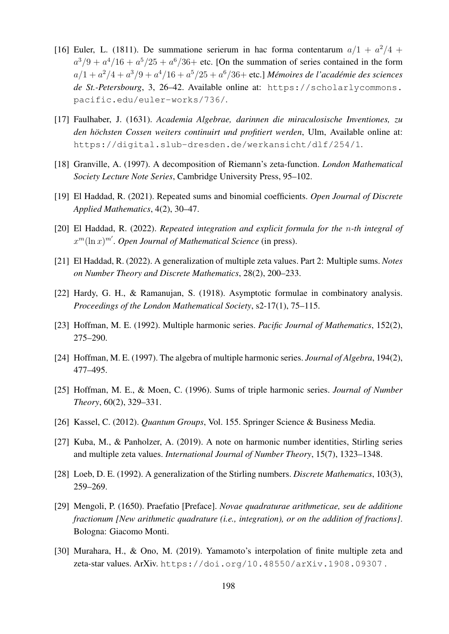- [16] Euler, L. (1811). De summatione serierum in hac forma contentarum  $a/1 + a^2/4 +$  $a^3/9 + a^4/16 + a^5/25 + a^6/36$  etc. [On the summation of series contained in the form  $a/1 + a^2/4 + a^3/9 + a^4/16 + a^5/25 + a^6/36 +$  etc.] *Mémoires de l'académie des sciences de St.-Petersbourg*, 3, 26–42. Available online at: https://scholarlycommons. pacific.edu/euler-works/736/.
- [17] Faulhaber, J. (1631). *Academia Algebrae, darinnen die miraculosische Inventiones, zu* den höchsten Cossen weiters continuirt und profitiert werden, Ulm, Available online at: https://digital.slub-dresden.de/werkansicht/dlf/254/1.
- [18] Granville, A. (1997). A decomposition of Riemann's zeta-function. *London Mathematical Society Lecture Note Series*, Cambridge University Press, 95–102.
- [19] El Haddad, R. (2021). Repeated sums and binomial coefficients. *Open Journal of Discrete Applied Mathematics*, 4(2), 30–47.
- [20] El Haddad, R. (2022). *Repeated integration and explicit formula for the* n*-th integral of*  $x^m(\ln x)^{m'}$ . Open Journal of Mathematical Science (in press).
- [21] El Haddad, R. (2022). A generalization of multiple zeta values. Part 2: Multiple sums. *Notes on Number Theory and Discrete Mathematics*, 28(2), 200–233.
- [22] Hardy, G. H., & Ramanujan, S. (1918). Asymptotic formulae in combinatory analysis. *Proceedings of the London Mathematical Society*, s2-17(1), 75–115.
- [23] Hoffman, M. E. (1992). Multiple harmonic series. *Pacific Journal of Mathematics*, 152(2), 275–290.
- [24] Hoffman, M. E. (1997). The algebra of multiple harmonic series. *Journal of Algebra*, 194(2), 477–495.
- [25] Hoffman, M. E., & Moen, C. (1996). Sums of triple harmonic series. *Journal of Number Theory*, 60(2), 329–331.
- [26] Kassel, C. (2012). *Quantum Groups*, Vol. 155. Springer Science & Business Media.
- [27] Kuba, M., & Panholzer, A. (2019). A note on harmonic number identities, Stirling series and multiple zeta values. *International Journal of Number Theory*, 15(7), 1323–1348.
- [28] Loeb, D. E. (1992). A generalization of the Stirling numbers. *Discrete Mathematics*, 103(3), 259–269.
- [29] Mengoli, P. (1650). Praefatio [Preface]. *Novae quadraturae arithmeticae, seu de additione fractionum [New arithmetic quadrature (i.e., integration), or on the addition of fractions]*. Bologna: Giacomo Monti.
- [30] Murahara, H., & Ono, M. (2019). Yamamoto's interpolation of finite multiple zeta and zeta-star values. ArXiv. https://doi.org/10.48550/arXiv.1908.09307 .